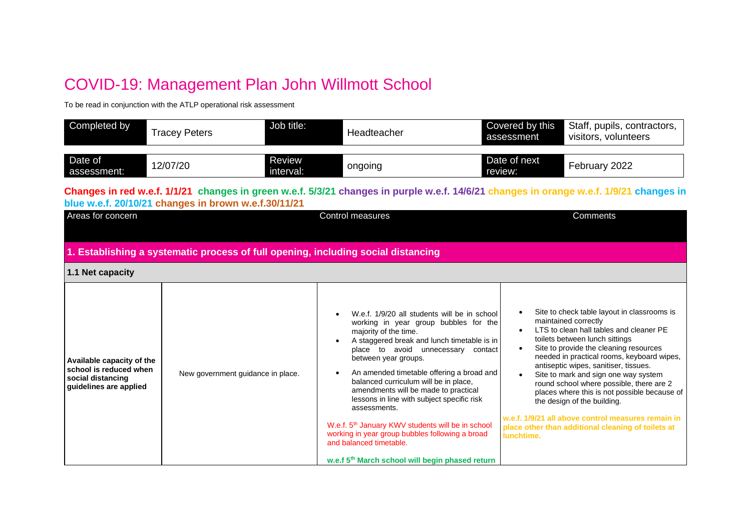## COVID-19: Management Plan John Willmott School

To be read in conjunction with the ATLP operational risk assessment

| Completed by           | <b>Tracey Peters</b> | Job title:          | Headteacher | Covered by this<br>assessment | Staff, pupils, contractors,<br>visitors, volunteers |
|------------------------|----------------------|---------------------|-------------|-------------------------------|-----------------------------------------------------|
| Date of<br>assessment: | 12/07/20             | Review<br>interval: | ongoing     | Date of next<br>review:       | February 2022                                       |

**Changes in red w.e.f. 1/1/21 changes in green w.e.f. 5/3/21 changes in purple w.e.f. 14/6/21 changes in orange w.e.f. 1/9/21 changes in blue w.e.f. 20/10/21 changes in brown w.e.f.30/11/21**

| Areas for concern                                                                                  |                                                                                   | <b>Control measures</b>                                                                                                                                                                                                                                                                                                                                                                                                                                                                                                                                                                                                               | Comments                                                                                                                                                                                                                                                                                                                                                                                                                                                                                                                                                                       |  |
|----------------------------------------------------------------------------------------------------|-----------------------------------------------------------------------------------|---------------------------------------------------------------------------------------------------------------------------------------------------------------------------------------------------------------------------------------------------------------------------------------------------------------------------------------------------------------------------------------------------------------------------------------------------------------------------------------------------------------------------------------------------------------------------------------------------------------------------------------|--------------------------------------------------------------------------------------------------------------------------------------------------------------------------------------------------------------------------------------------------------------------------------------------------------------------------------------------------------------------------------------------------------------------------------------------------------------------------------------------------------------------------------------------------------------------------------|--|
|                                                                                                    |                                                                                   |                                                                                                                                                                                                                                                                                                                                                                                                                                                                                                                                                                                                                                       |                                                                                                                                                                                                                                                                                                                                                                                                                                                                                                                                                                                |  |
|                                                                                                    | 1. Establishing a systematic process of full opening, including social distancing |                                                                                                                                                                                                                                                                                                                                                                                                                                                                                                                                                                                                                                       |                                                                                                                                                                                                                                                                                                                                                                                                                                                                                                                                                                                |  |
| 1.1 Net capacity                                                                                   |                                                                                   |                                                                                                                                                                                                                                                                                                                                                                                                                                                                                                                                                                                                                                       |                                                                                                                                                                                                                                                                                                                                                                                                                                                                                                                                                                                |  |
| Available capacity of the<br>school is reduced when<br>social distancing<br>guidelines are applied | New government guidance in place.                                                 | W.e.f. 1/9/20 all students will be in school<br>working in year group bubbles for the<br>majority of the time.<br>A staggered break and lunch timetable is in<br>place to avoid unnecessary contact<br>between year groups.<br>An amended timetable offering a broad and<br>balanced curriculum will be in place,<br>amendments will be made to practical<br>lessons in line with subject specific risk<br>assessments.<br>W.e.f. 5 <sup>th</sup> January KWV students will be in school<br>working in year group bubbles following a broad<br>and balanced timetable.<br>w.e.f 5 <sup>th</sup> March school will begin phased return | Site to check table layout in classrooms is<br>maintained correctly<br>LTS to clean hall tables and cleaner PE<br>toilets between lunch sittings<br>Site to provide the cleaning resources<br>needed in practical rooms, keyboard wipes,<br>antiseptic wipes, sanitiser, tissues.<br>Site to mark and sign one way system<br>round school where possible, there are 2<br>places where this is not possible because of<br>the design of the building.<br>w.e.f. 1/9/21 all above control measures remain in<br>place other than additional cleaning of toilets at<br>lunchtime. |  |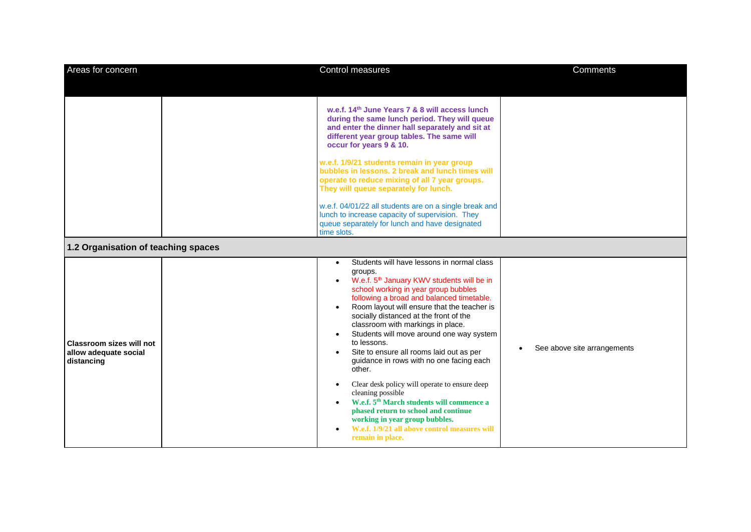| Areas for concern                                                      | Control measures                                                                                                                                                                                                                                                                                                                                                                                                                                                                                                                                                                                                                                                                                                                                                                                                                  | <b>Comments</b>             |
|------------------------------------------------------------------------|-----------------------------------------------------------------------------------------------------------------------------------------------------------------------------------------------------------------------------------------------------------------------------------------------------------------------------------------------------------------------------------------------------------------------------------------------------------------------------------------------------------------------------------------------------------------------------------------------------------------------------------------------------------------------------------------------------------------------------------------------------------------------------------------------------------------------------------|-----------------------------|
|                                                                        | w.e.f. 14 <sup>th</sup> June Years 7 & 8 will access lunch<br>during the same lunch period. They will queue<br>and enter the dinner hall separately and sit at<br>different year group tables. The same will<br>occur for years 9 & 10.<br>w.e.f. 1/9/21 students remain in year group<br>bubbles in lessons. 2 break and lunch times will<br>operate to reduce mixing of all 7 year groups.<br>They will queue separately for lunch.<br>w.e.f. 04/01/22 all students are on a single break and<br>lunch to increase capacity of supervision. They<br>queue separately for lunch and have designated<br>time slots.                                                                                                                                                                                                               |                             |
| 1.2 Organisation of teaching spaces                                    |                                                                                                                                                                                                                                                                                                                                                                                                                                                                                                                                                                                                                                                                                                                                                                                                                                   |                             |
| <b>Classroom sizes will not</b><br>allow adequate social<br>distancing | Students will have lessons in normal class<br>$\bullet$<br>groups.<br>W.e.f. 5 <sup>th</sup> January KWV students will be in<br>$\bullet$<br>school working in year group bubbles<br>following a broad and balanced timetable.<br>Room layout will ensure that the teacher is<br>socially distanced at the front of the<br>classroom with markings in place.<br>Students will move around one way system<br>$\bullet$<br>to lessons.<br>Site to ensure all rooms laid out as per<br>guidance in rows with no one facing each<br>other.<br>Clear desk policy will operate to ensure deep<br>$\bullet$<br>cleaning possible<br>W.e.f. 5 <sup>th</sup> March students will commence a<br>phased return to school and continue<br>working in year group bubbles.<br>W.e.f. 1/9/21 all above control measures will<br>remain in place. | See above site arrangements |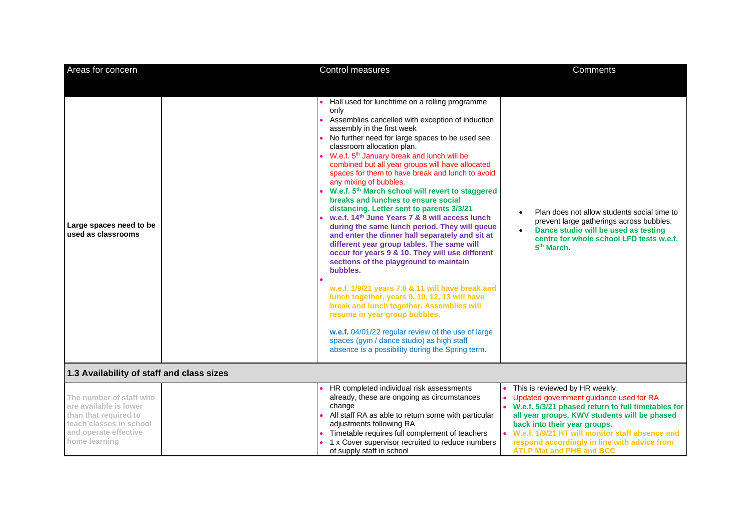| Areas for concern                                                                                                                               | Control measures                                                                                                                                                                                                                                                                                                                                                                                                                                                                                                                                                                                                                                                                                                                                                                                                                                                                                                                                                                                                                                                                                                                                                                                                                             | <b>Comments</b>                                                                                                                                                                                                                                                                                                                                           |
|-------------------------------------------------------------------------------------------------------------------------------------------------|----------------------------------------------------------------------------------------------------------------------------------------------------------------------------------------------------------------------------------------------------------------------------------------------------------------------------------------------------------------------------------------------------------------------------------------------------------------------------------------------------------------------------------------------------------------------------------------------------------------------------------------------------------------------------------------------------------------------------------------------------------------------------------------------------------------------------------------------------------------------------------------------------------------------------------------------------------------------------------------------------------------------------------------------------------------------------------------------------------------------------------------------------------------------------------------------------------------------------------------------|-----------------------------------------------------------------------------------------------------------------------------------------------------------------------------------------------------------------------------------------------------------------------------------------------------------------------------------------------------------|
| Large spaces need to be<br>used as classrooms                                                                                                   | Hall used for lunchtime on a rolling programme<br>only<br>Assemblies cancelled with exception of induction<br>assembly in the first week<br>No further need for large spaces to be used see<br>classroom allocation plan.<br>W.e.f. 5 <sup>th</sup> January break and lunch will be<br>combined but all year groups will have allocated<br>spaces for them to have break and lunch to avoid<br>any mixing of bubbles.<br>W.e.f. 5 <sup>th</sup> March school will revert to staggered<br>breaks and lunches to ensure social<br>distancing. Letter sent to parents 3/3/21<br>w.e.f. 14 <sup>th</sup> June Years 7 & 8 will access lunch<br>during the same lunch period. They will queue<br>and enter the dinner hall separately and sit at<br>different year group tables. The same will<br>occur for years 9 & 10. They will use different<br>sections of the playground to maintain<br>bubbles.<br>w.e.f. 1/9/21 years 7.8 & 11 will have break and<br>lunch together, years 9, 10, 12, 13 will have<br>break and lunch together. Assemblies will<br>resume in year group bubbles.<br>w.e.f. 04/01/22 regular review of the use of large<br>spaces (gym / dance studio) as high staff<br>absence is a possibility during the Spring term. | Plan does not allow students social time to<br>prevent large gatherings across bubbles.<br>Dance studio will be used as testing<br>centre for whole school LFD tests w.e.f.<br>5 <sup>th</sup> March.                                                                                                                                                     |
|                                                                                                                                                 |                                                                                                                                                                                                                                                                                                                                                                                                                                                                                                                                                                                                                                                                                                                                                                                                                                                                                                                                                                                                                                                                                                                                                                                                                                              |                                                                                                                                                                                                                                                                                                                                                           |
| 1.3 Availability of staff and class sizes                                                                                                       |                                                                                                                                                                                                                                                                                                                                                                                                                                                                                                                                                                                                                                                                                                                                                                                                                                                                                                                                                                                                                                                                                                                                                                                                                                              |                                                                                                                                                                                                                                                                                                                                                           |
| The number of staff who<br>are available is lower<br>than that required to<br>teach classes in school<br>and operate effective<br>home learning | HR completed individual risk assessments<br>already, these are ongoing as circumstances<br>change<br>All staff RA as able to return some with particular<br>adjustments following RA<br>Timetable requires full complement of teachers<br>1 x Cover supervisor recruited to reduce numbers<br>of supply staff in school                                                                                                                                                                                                                                                                                                                                                                                                                                                                                                                                                                                                                                                                                                                                                                                                                                                                                                                      | This is reviewed by HR weekly.<br>Updated government guidance used for RA<br>• W.e.f. 5/3/21 phased return to full timetables for<br>all year groups. KWV students will be phased<br>back into their year groups.<br>• W.e.f. 1/9/21 HT will monitor staff absence and<br>respond accordingly in line with advice from<br><b>ATLP Mat and PHE and BCC</b> |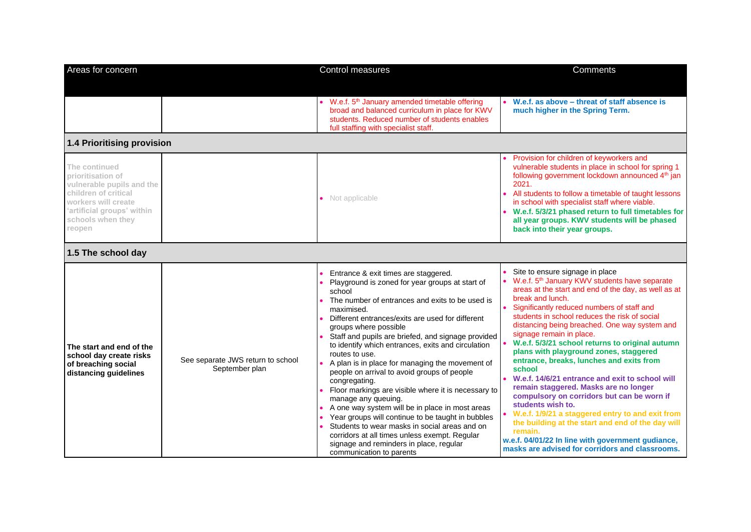| Areas for concern                                                                                                                                                           |                                                     | Control measures                                                                                                                                                                                                                                                                                                                                                                                                                                                                                                                                                                                                                                                                                                                                                                                                                                                | Comments                                                                                                                                                                                                                                                                                                                                                                                                                                                                                                                                                                                                                                                                                                                                                                                                                                                                                           |
|-----------------------------------------------------------------------------------------------------------------------------------------------------------------------------|-----------------------------------------------------|-----------------------------------------------------------------------------------------------------------------------------------------------------------------------------------------------------------------------------------------------------------------------------------------------------------------------------------------------------------------------------------------------------------------------------------------------------------------------------------------------------------------------------------------------------------------------------------------------------------------------------------------------------------------------------------------------------------------------------------------------------------------------------------------------------------------------------------------------------------------|----------------------------------------------------------------------------------------------------------------------------------------------------------------------------------------------------------------------------------------------------------------------------------------------------------------------------------------------------------------------------------------------------------------------------------------------------------------------------------------------------------------------------------------------------------------------------------------------------------------------------------------------------------------------------------------------------------------------------------------------------------------------------------------------------------------------------------------------------------------------------------------------------|
|                                                                                                                                                                             |                                                     | • W.e.f. 5 <sup>th</sup> January amended timetable offering<br>broad and balanced curriculum in place for KWV<br>students. Reduced number of students enables<br>full staffing with specialist staff.                                                                                                                                                                                                                                                                                                                                                                                                                                                                                                                                                                                                                                                           | W.e.f. as above - threat of staff absence is<br>much higher in the Spring Term.                                                                                                                                                                                                                                                                                                                                                                                                                                                                                                                                                                                                                                                                                                                                                                                                                    |
| 1.4 Prioritising provision                                                                                                                                                  |                                                     |                                                                                                                                                                                                                                                                                                                                                                                                                                                                                                                                                                                                                                                                                                                                                                                                                                                                 |                                                                                                                                                                                                                                                                                                                                                                                                                                                                                                                                                                                                                                                                                                                                                                                                                                                                                                    |
| The continued<br>prioritisation of<br>vulnerable pupils and the<br>children of critical<br>workers will create<br>'artificial groups' within<br>schools when they<br>reopen |                                                     | • Not applicable                                                                                                                                                                                                                                                                                                                                                                                                                                                                                                                                                                                                                                                                                                                                                                                                                                                | Provision for children of keyworkers and<br>vulnerable students in place in school for spring 1<br>following government lockdown announced 4 <sup>th</sup> jan<br>2021.<br>All students to follow a timetable of taught lessons<br>in school with specialist staff where viable.<br>W.e.f. 5/3/21 phased return to full timetables for<br>all year groups. KWV students will be phased<br>back into their year groups.                                                                                                                                                                                                                                                                                                                                                                                                                                                                             |
| 1.5 The school day                                                                                                                                                          |                                                     |                                                                                                                                                                                                                                                                                                                                                                                                                                                                                                                                                                                                                                                                                                                                                                                                                                                                 |                                                                                                                                                                                                                                                                                                                                                                                                                                                                                                                                                                                                                                                                                                                                                                                                                                                                                                    |
| The start and end of the<br>school day create risks<br>of breaching social<br>distancing guidelines                                                                         | See separate JWS return to school<br>September plan | Entrance & exit times are staggered.<br>Playground is zoned for year groups at start of<br>school<br>The number of entrances and exits to be used is<br>maximised.<br>Different entrances/exits are used for different<br>groups where possible<br>Staff and pupils are briefed, and signage provided<br>to identify which entrances, exits and circulation<br>routes to use.<br>A plan is in place for managing the movement of<br>people on arrival to avoid groups of people<br>congregating.<br>Floor markings are visible where it is necessary to<br>manage any queuing.<br>A one way system will be in place in most areas<br>Year groups will continue to be taught in bubbles<br>Students to wear masks in social areas and on<br>corridors at all times unless exempt. Regular<br>signage and reminders in place, regular<br>communication to parents | Site to ensure signage in place<br>W.e.f. 5 <sup>th</sup> January KWV students have separate<br>areas at the start and end of the day, as well as at<br>break and lunch.<br>Significantly reduced numbers of staff and<br>students in school reduces the risk of social<br>distancing being breached. One way system and<br>signage remain in place.<br>W.e.f. 5/3/21 school returns to original autumn<br>plans with playground zones, staggered<br>entrance, breaks, lunches and exits from<br>school<br>W.e.f. 14/6/21 entrance and exit to school will<br>remain staggered. Masks are no longer<br>compulsory on corridors but can be worn if<br>students wish to.<br>W.e.f. 1/9/21 a staggered entry to and exit from<br>the building at the start and end of the day will<br>remain.<br>w.e.f. 04/01/22 In line with government gudiance,<br>masks are advised for corridors and classrooms. |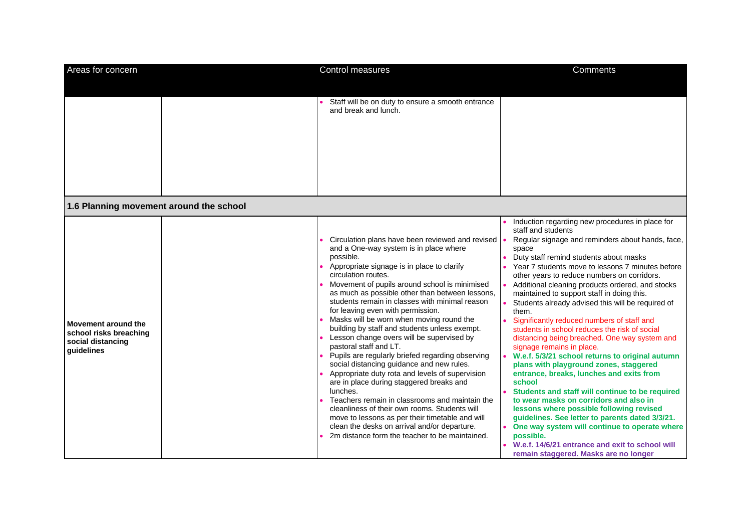| Areas for concern                                                                | Control measures                                                                                                                                                                                                                                                                                                                                                                                                                                                                                                                                                                                                                                                                                                                                                                                                                                                                                                                                                                                                    | Comments                                                                                                                                                                                                                                                                                                                                                                                                                                                                                                                                                                                                                                                                                                                                                                                                                                                                                                                                                                                                                                                                                                                              |
|----------------------------------------------------------------------------------|---------------------------------------------------------------------------------------------------------------------------------------------------------------------------------------------------------------------------------------------------------------------------------------------------------------------------------------------------------------------------------------------------------------------------------------------------------------------------------------------------------------------------------------------------------------------------------------------------------------------------------------------------------------------------------------------------------------------------------------------------------------------------------------------------------------------------------------------------------------------------------------------------------------------------------------------------------------------------------------------------------------------|---------------------------------------------------------------------------------------------------------------------------------------------------------------------------------------------------------------------------------------------------------------------------------------------------------------------------------------------------------------------------------------------------------------------------------------------------------------------------------------------------------------------------------------------------------------------------------------------------------------------------------------------------------------------------------------------------------------------------------------------------------------------------------------------------------------------------------------------------------------------------------------------------------------------------------------------------------------------------------------------------------------------------------------------------------------------------------------------------------------------------------------|
|                                                                                  | Staff will be on duty to ensure a smooth entrance<br>and break and lunch.                                                                                                                                                                                                                                                                                                                                                                                                                                                                                                                                                                                                                                                                                                                                                                                                                                                                                                                                           |                                                                                                                                                                                                                                                                                                                                                                                                                                                                                                                                                                                                                                                                                                                                                                                                                                                                                                                                                                                                                                                                                                                                       |
| 1.6 Planning movement around the school                                          |                                                                                                                                                                                                                                                                                                                                                                                                                                                                                                                                                                                                                                                                                                                                                                                                                                                                                                                                                                                                                     |                                                                                                                                                                                                                                                                                                                                                                                                                                                                                                                                                                                                                                                                                                                                                                                                                                                                                                                                                                                                                                                                                                                                       |
| Movement around the<br>school risks breaching<br>social distancing<br>guidelines | Circulation plans have been reviewed and revised   •<br>and a One-way system is in place where<br>possible.<br>Appropriate signage is in place to clarify<br>circulation routes.<br>Movement of pupils around school is minimised<br>as much as possible other than between lessons,<br>students remain in classes with minimal reason<br>for leaving even with permission.<br>Masks will be worn when moving round the<br>building by staff and students unless exempt.<br>Lesson change overs will be supervised by<br>pastoral staff and LT.<br>Pupils are regularly briefed regarding observing<br>social distancing guidance and new rules.<br>Appropriate duty rota and levels of supervision<br>are in place during staggered breaks and<br>lunches.<br>Teachers remain in classrooms and maintain the<br>cleanliness of their own rooms. Students will<br>move to lessons as per their timetable and will<br>clean the desks on arrival and/or departure.<br>2m distance form the teacher to be maintained. | Induction regarding new procedures in place for<br>staff and students<br>Regular signage and reminders about hands, face,<br>space<br>Duty staff remind students about masks<br>Year 7 students move to lessons 7 minutes before<br>other years to reduce numbers on corridors.<br>Additional cleaning products ordered, and stocks<br>maintained to support staff in doing this.<br>Students already advised this will be required of<br>them.<br>Significantly reduced numbers of staff and<br>students in school reduces the risk of social<br>distancing being breached. One way system and<br>signage remains in place.<br>W.e.f. 5/3/21 school returns to original autumn<br>plans with playground zones, staggered<br>entrance, breaks, lunches and exits from<br>school<br>Students and staff will continue to be required<br>to wear masks on corridors and also in<br>lessons where possible following revised<br>guidelines. See letter to parents dated 3/3/21.<br>One way system will continue to operate where<br>possible.<br>W.e.f. 14/6/21 entrance and exit to school will<br>remain staggered. Masks are no longer |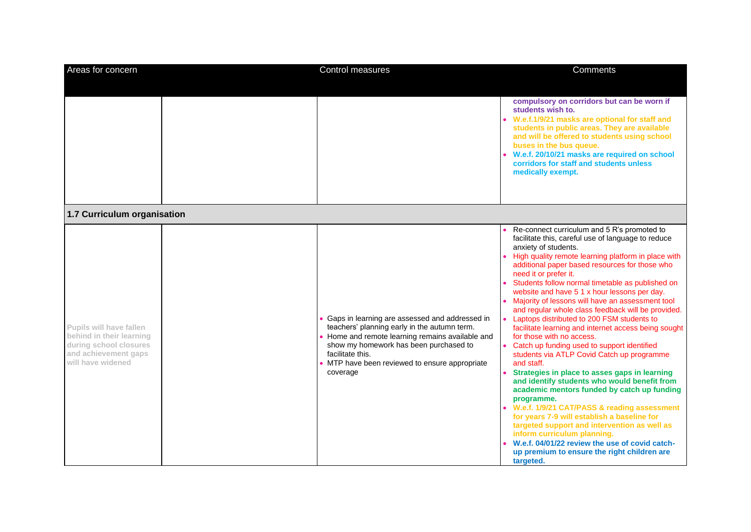| Areas for concern                                                                                                          | Control measures                                                                                                                                                                                                                                                           | <b>Comments</b>                                                                                                                                                                                                                                                                                                                                                                                                                                                                                                                                                                                                                                                                                                                                                                                                                                                                                                                                                                                                                                                                                                                                                                  |
|----------------------------------------------------------------------------------------------------------------------------|----------------------------------------------------------------------------------------------------------------------------------------------------------------------------------------------------------------------------------------------------------------------------|----------------------------------------------------------------------------------------------------------------------------------------------------------------------------------------------------------------------------------------------------------------------------------------------------------------------------------------------------------------------------------------------------------------------------------------------------------------------------------------------------------------------------------------------------------------------------------------------------------------------------------------------------------------------------------------------------------------------------------------------------------------------------------------------------------------------------------------------------------------------------------------------------------------------------------------------------------------------------------------------------------------------------------------------------------------------------------------------------------------------------------------------------------------------------------|
|                                                                                                                            |                                                                                                                                                                                                                                                                            | compulsory on corridors but can be worn if<br>students wish to.<br>W.e.f.1/9/21 masks are optional for staff and<br>students in public areas. They are available<br>and will be offered to students using school<br>buses in the bus queue.<br>W.e.f. 20/10/21 masks are required on school<br>corridors for staff and students unless<br>medically exempt.                                                                                                                                                                                                                                                                                                                                                                                                                                                                                                                                                                                                                                                                                                                                                                                                                      |
| 1.7 Curriculum organisation                                                                                                |                                                                                                                                                                                                                                                                            |                                                                                                                                                                                                                                                                                                                                                                                                                                                                                                                                                                                                                                                                                                                                                                                                                                                                                                                                                                                                                                                                                                                                                                                  |
| Pupils will have fallen<br>behind in their learning<br>during school closures<br>and achievement gaps<br>will have widened | Gaps in learning are assessed and addressed in<br>teachers' planning early in the autumn term.<br>Home and remote learning remains available and<br>show my homework has been purchased to<br>facilitate this.<br>MTP have been reviewed to ensure appropriate<br>coverage | Re-connect curriculum and 5 R's promoted to<br>facilitate this, careful use of language to reduce<br>anxiety of students.<br>High quality remote learning platform in place with<br>additional paper based resources for those who<br>need it or prefer it.<br>Students follow normal timetable as published on<br>website and have 5 1 x hour lessons per day.<br>Majority of lessons will have an assessment tool<br>and regular whole class feedback will be provided.<br>Laptops distributed to 200 FSM students to<br>facilitate learning and internet access being sought<br>for those with no access.<br>Catch up funding used to support identified<br>students via ATLP Covid Catch up programme<br>and staff.<br>Strategies in place to asses gaps in learning<br>and identify students who would benefit from<br>academic mentors funded by catch up funding<br>programme.<br>W.e.f. 1/9/21 CAT/PASS & reading assessment<br>for years 7-9 will establish a baseline for<br>targeted support and intervention as well as<br>inform curriculum planning.<br>W.e.f. 04/01/22 review the use of covid catch-<br>up premium to ensure the right children are<br>targeted. |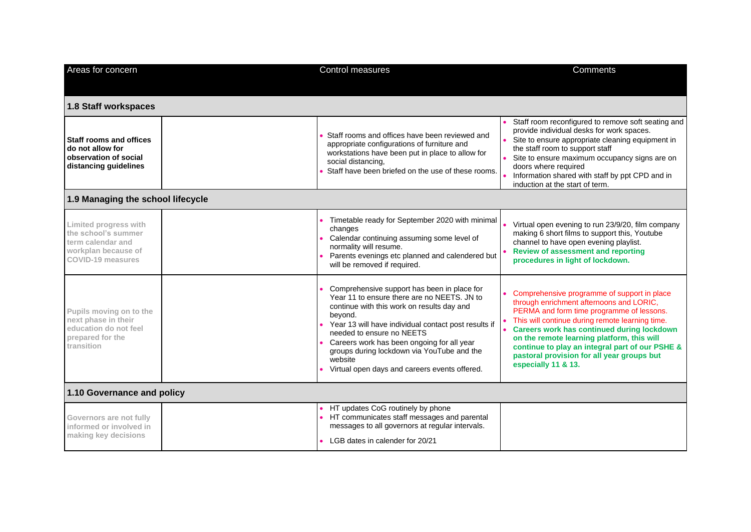| Areas for concern                                                                                                    | Control measures                                                                                                                                                                                                                                                                                                                                                                                 | Comments                                                                                                                                                                                                                                                                                                                                                                                                           |
|----------------------------------------------------------------------------------------------------------------------|--------------------------------------------------------------------------------------------------------------------------------------------------------------------------------------------------------------------------------------------------------------------------------------------------------------------------------------------------------------------------------------------------|--------------------------------------------------------------------------------------------------------------------------------------------------------------------------------------------------------------------------------------------------------------------------------------------------------------------------------------------------------------------------------------------------------------------|
| 1.8 Staff workspaces                                                                                                 |                                                                                                                                                                                                                                                                                                                                                                                                  |                                                                                                                                                                                                                                                                                                                                                                                                                    |
| <b>Staff rooms and offices</b><br>do not allow for<br>observation of social<br>distancing guidelines                 | Staff rooms and offices have been reviewed and<br>appropriate configurations of furniture and<br>workstations have been put in place to allow for<br>social distancing,<br>Staff have been briefed on the use of these rooms.                                                                                                                                                                    | Staff room reconfigured to remove soft seating and<br>provide individual desks for work spaces.<br>Site to ensure appropriate cleaning equipment in<br>the staff room to support staff<br>Site to ensure maximum occupancy signs are on<br>doors where required<br>Information shared with staff by ppt CPD and in<br>induction at the start of term.                                                              |
| 1.9 Managing the school lifecycle                                                                                    |                                                                                                                                                                                                                                                                                                                                                                                                  |                                                                                                                                                                                                                                                                                                                                                                                                                    |
| Limited progress with<br>the school's summer<br>term calendar and<br>workplan because of<br><b>COVID-19 measures</b> | Timetable ready for September 2020 with minimal<br>changes<br>Calendar continuing assuming some level of<br>normality will resume.<br>Parents evenings etc planned and calendered but<br>will be removed if required.                                                                                                                                                                            | Virtual open evening to run 23/9/20, film company<br>making 6 short films to support this, Youtube<br>channel to have open evening playlist.<br><b>Review of assessment and reporting</b><br>procedures in light of lockdown.                                                                                                                                                                                      |
| Pupils moving on to the<br>next phase in their<br>education do not feel<br>prepared for the<br>transition            | Comprehensive support has been in place for<br>Year 11 to ensure there are no NEETS. JN to<br>continue with this work on results day and<br>beyond.<br>Year 13 will have individual contact post results if<br>needed to ensure no NEETS<br>Careers work has been ongoing for all year<br>groups during lockdown via YouTube and the<br>website<br>Virtual open days and careers events offered. | Comprehensive programme of support in place<br>through enrichment afternoons and LORIC,<br>PERMA and form time programme of lessons.<br>This will continue during remote learning time.<br><b>Careers work has continued during lockdown</b><br>on the remote learning platform, this will<br>continue to play an integral part of our PSHE &<br>pastoral provision for all year groups but<br>especially 11 & 13. |
| 1.10 Governance and policy                                                                                           |                                                                                                                                                                                                                                                                                                                                                                                                  |                                                                                                                                                                                                                                                                                                                                                                                                                    |
| Governors are not fully<br>informed or involved in<br>making key decisions                                           | HT updates CoG routinely by phone<br>HT communicates staff messages and parental<br>messages to all governors at regular intervals.<br>LGB dates in calender for 20/21                                                                                                                                                                                                                           |                                                                                                                                                                                                                                                                                                                                                                                                                    |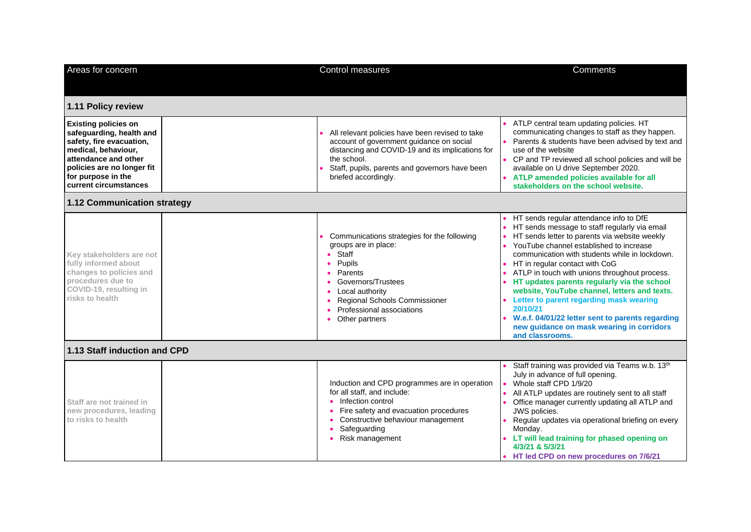| Areas for concern                                                                                                                                                                                               | <b>Control measures</b>                                                                                                                                                                                                                  | Comments                                                                                                                                                                                                                                                                                                                                                                                                                                                                                                                                                                                              |
|-----------------------------------------------------------------------------------------------------------------------------------------------------------------------------------------------------------------|------------------------------------------------------------------------------------------------------------------------------------------------------------------------------------------------------------------------------------------|-------------------------------------------------------------------------------------------------------------------------------------------------------------------------------------------------------------------------------------------------------------------------------------------------------------------------------------------------------------------------------------------------------------------------------------------------------------------------------------------------------------------------------------------------------------------------------------------------------|
|                                                                                                                                                                                                                 |                                                                                                                                                                                                                                          |                                                                                                                                                                                                                                                                                                                                                                                                                                                                                                                                                                                                       |
| 1.11 Policy review                                                                                                                                                                                              |                                                                                                                                                                                                                                          |                                                                                                                                                                                                                                                                                                                                                                                                                                                                                                                                                                                                       |
| <b>Existing policies on</b><br>safeguarding, health and<br>safety, fire evacuation,<br>medical, behaviour,<br>attendance and other<br>policies are no longer fit<br>for purpose in the<br>current circumstances | All relevant policies have been revised to take<br>account of government guidance on social<br>distancing and COVID-19 and its implications for<br>the school.<br>Staff, pupils, parents and governors have been<br>briefed accordingly. | ATLP central team updating policies. HT<br>communicating changes to staff as they happen.<br>Parents & students have been advised by text and<br>use of the website<br>• CP and TP reviewed all school policies and will be<br>available on U drive September 2020.<br>• ATLP amended policies available for all<br>stakeholders on the school website.                                                                                                                                                                                                                                               |
| 1.12 Communication strategy                                                                                                                                                                                     |                                                                                                                                                                                                                                          |                                                                                                                                                                                                                                                                                                                                                                                                                                                                                                                                                                                                       |
| Key stakeholders are not<br>fully informed about<br>changes to policies and<br>procedures due to<br>COVID-19, resulting in<br>risks to health                                                                   | Communications strategies for the following<br>groups are in place:<br>Staff<br>Pupils<br>Parents<br>Governors/Trustees<br>Local authority<br>Regional Schools Commissioner<br>Professional associations<br>Other partners               | HT sends regular attendance info to DfE<br>HT sends message to staff regularly via email<br>HT sends letter to parents via website weekly<br>YouTube channel established to increase<br>communication with students while in lockdown.<br>HT in regular contact with CoG<br>ATLP in touch with unions throughout process.<br>HT updates parents regularly via the school<br>website, YouTube channel, letters and texts.<br>• Letter to parent regarding mask wearing<br>20/10/21<br>W.e.f. 04/01/22 letter sent to parents regarding<br>new guidance on mask wearing in corridors<br>and classrooms. |
| 1.13 Staff induction and CPD                                                                                                                                                                                    |                                                                                                                                                                                                                                          |                                                                                                                                                                                                                                                                                                                                                                                                                                                                                                                                                                                                       |
| Staff are not trained in<br>new procedures, leading<br>to risks to health                                                                                                                                       | Induction and CPD programmes are in operation<br>for all staff, and include:<br>• Infection control<br>Fire safety and evacuation procedures<br>Constructive behaviour management<br>Safeguarding<br>Risk management                     | Staff training was provided via Teams w.b. 13 <sup>th</sup><br>July in advance of full opening.<br>Whole staff CPD 1/9/20<br>All ATLP updates are routinely sent to all staff<br>Office manager currently updating all ATLP and<br>JWS policies.<br>Regular updates via operational briefing on every<br>Monday.<br>LT will lead training for phased opening on<br>4/3/21 & 5/3/21<br>• HT led CPD on new procedures on 7/6/21                                                                                                                                                                        |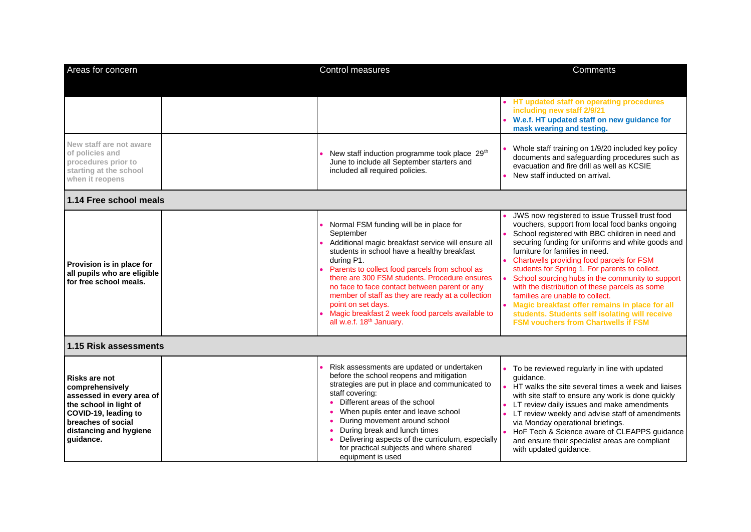| Areas for concern                                                                                                                                                                   | Control measures                                                                                                                                                                                                                                                                                                                                                                                                                                                                                   | <b>Comments</b>                                                                                                                                                                                                                                                                                                                                                                                                                                                                                                                                                                                                                           |
|-------------------------------------------------------------------------------------------------------------------------------------------------------------------------------------|----------------------------------------------------------------------------------------------------------------------------------------------------------------------------------------------------------------------------------------------------------------------------------------------------------------------------------------------------------------------------------------------------------------------------------------------------------------------------------------------------|-------------------------------------------------------------------------------------------------------------------------------------------------------------------------------------------------------------------------------------------------------------------------------------------------------------------------------------------------------------------------------------------------------------------------------------------------------------------------------------------------------------------------------------------------------------------------------------------------------------------------------------------|
|                                                                                                                                                                                     |                                                                                                                                                                                                                                                                                                                                                                                                                                                                                                    | • HT updated staff on operating procedures                                                                                                                                                                                                                                                                                                                                                                                                                                                                                                                                                                                                |
|                                                                                                                                                                                     |                                                                                                                                                                                                                                                                                                                                                                                                                                                                                                    | including new staff 2/9/21<br>W.e.f. HT updated staff on new guidance for<br>mask wearing and testing.                                                                                                                                                                                                                                                                                                                                                                                                                                                                                                                                    |
| New staff are not aware<br>of policies and<br>procedures prior to<br>starting at the school<br>when it reopens                                                                      | New staff induction programme took place 29 <sup>th</sup><br>June to include all September starters and<br>included all required policies.                                                                                                                                                                                                                                                                                                                                                         | Whole staff training on 1/9/20 included key policy<br>documents and safeguarding procedures such as<br>evacuation and fire drill as well as KCSIE<br>New staff inducted on arrival.                                                                                                                                                                                                                                                                                                                                                                                                                                                       |
| 1.14 Free school meals                                                                                                                                                              |                                                                                                                                                                                                                                                                                                                                                                                                                                                                                                    |                                                                                                                                                                                                                                                                                                                                                                                                                                                                                                                                                                                                                                           |
| Provision is in place for<br>all pupils who are eligible<br>for free school meals.                                                                                                  | Normal FSM funding will be in place for<br>September<br>Additional magic breakfast service will ensure all<br>students in school have a healthy breakfast<br>during P1.<br>Parents to collect food parcels from school as<br>there are 300 FSM students. Procedure ensures<br>no face to face contact between parent or any<br>member of staff as they are ready at a collection<br>point on set days.<br>Magic breakfast 2 week food parcels available to<br>all w.e.f. 18 <sup>th</sup> January. | JWS now registered to issue Trussell trust food<br>vouchers, support from local food banks ongoing<br>School registered with BBC children in need and<br>securing funding for uniforms and white goods and<br>furniture for families in need.<br>Chartwells providing food parcels for FSM<br>students for Spring 1. For parents to collect.<br>School sourcing hubs in the community to support<br>with the distribution of these parcels as some<br>families are unable to collect.<br>• Magic breakfast offer remains in place for all<br>students. Students self isolating will receive<br><b>FSM vouchers from Chartwells if FSM</b> |
| 1.15 Risk assessments                                                                                                                                                               |                                                                                                                                                                                                                                                                                                                                                                                                                                                                                                    |                                                                                                                                                                                                                                                                                                                                                                                                                                                                                                                                                                                                                                           |
| <b>Risks are not</b><br>comprehensively<br>assessed in every area of<br>the school in light of<br>COVID-19, leading to<br>breaches of social<br>distancing and hygiene<br>guidance. | Risk assessments are updated or undertaken<br>before the school reopens and mitigation<br>strategies are put in place and communicated to<br>staff covering:<br>• Different areas of the school<br>When pupils enter and leave school<br>During movement around school<br>During break and lunch times<br>Delivering aspects of the curriculum, especially<br>for practical subjects and where shared<br>equipment is used                                                                         | To be reviewed regularly in line with updated<br>quidance.<br>• HT walks the site several times a week and liaises<br>with site staff to ensure any work is done quickly<br>LT review daily issues and make amendments<br>LT review weekly and advise staff of amendments<br>via Monday operational briefings.<br>HoF Tech & Science aware of CLEAPPS guidance<br>and ensure their specialist areas are compliant<br>with updated guidance.                                                                                                                                                                                               |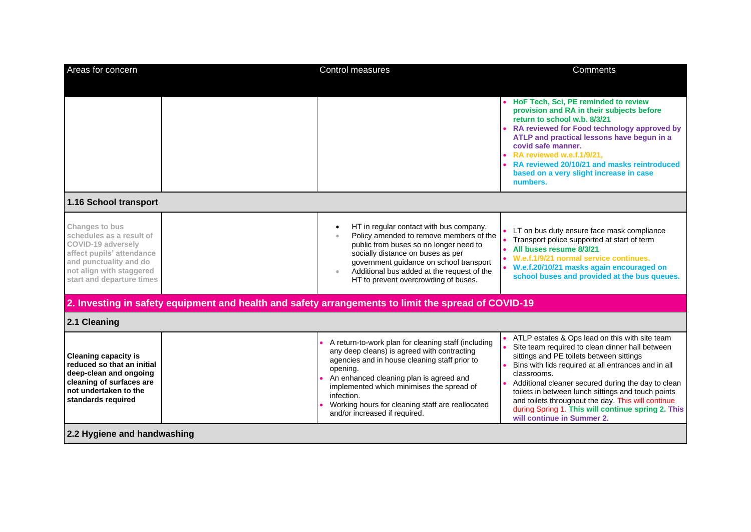| Areas for concern                                                                                                                                                                | <b>Control measures</b>                                                                                                                                                                                                                                                                                                                                    | Comments                                                                                                                                                                                                                                                                                                                                                                                                                                                                  |
|----------------------------------------------------------------------------------------------------------------------------------------------------------------------------------|------------------------------------------------------------------------------------------------------------------------------------------------------------------------------------------------------------------------------------------------------------------------------------------------------------------------------------------------------------|---------------------------------------------------------------------------------------------------------------------------------------------------------------------------------------------------------------------------------------------------------------------------------------------------------------------------------------------------------------------------------------------------------------------------------------------------------------------------|
|                                                                                                                                                                                  |                                                                                                                                                                                                                                                                                                                                                            | • HoF Tech, Sci, PE reminded to review<br>provision and RA in their subjects before<br>return to school w.b. 8/3/21<br>RA reviewed for Food technology approved by<br>ATLP and practical lessons have begun in a<br>covid safe manner.<br>RA reviewed w.e.f.1/9/21.<br>RA reviewed 20/10/21 and masks reintroduced<br>based on a very slight increase in case<br>numbers.                                                                                                 |
| 1.16 School transport                                                                                                                                                            |                                                                                                                                                                                                                                                                                                                                                            |                                                                                                                                                                                                                                                                                                                                                                                                                                                                           |
| Changes to bus<br>schedules as a result of<br>COVID-19 adversely<br>affect pupils' attendance<br>and punctuality and do<br>not align with staggered<br>start and departure times | HT in regular contact with bus company.<br>Policy amended to remove members of the<br>public from buses so no longer need to<br>socially distance on buses as per<br>government guidance on school transport<br>Additional bus added at the request of the<br>HT to prevent overcrowding of buses.                                                         | LT on bus duty ensure face mask compliance<br>Transport police supported at start of term<br>All buses resume 8/3/21<br>• W.e.f.1/9/21 normal service continues.<br>• W.e.f.20/10/21 masks again encouraged on<br>school buses and provided at the bus queues.                                                                                                                                                                                                            |
|                                                                                                                                                                                  | 2. Investing in safety equipment and health and safety arrangements to limit the spread of COVID-19                                                                                                                                                                                                                                                        |                                                                                                                                                                                                                                                                                                                                                                                                                                                                           |
| 2.1 Cleaning                                                                                                                                                                     |                                                                                                                                                                                                                                                                                                                                                            |                                                                                                                                                                                                                                                                                                                                                                                                                                                                           |
| <b>Cleaning capacity is</b><br>reduced so that an initial<br>deep-clean and ongoing<br>cleaning of surfaces are<br>not undertaken to the<br>standards required                   | A return-to-work plan for cleaning staff (including<br>any deep cleans) is agreed with contracting<br>agencies and in house cleaning staff prior to<br>opening.<br>An enhanced cleaning plan is agreed and<br>implemented which minimises the spread of<br>infection.<br>Working hours for cleaning staff are reallocated<br>and/or increased if required. | ATLP estates & Ops lead on this with site team<br>Site team required to clean dinner hall between<br>sittings and PE toilets between sittings<br>Bins with lids required at all entrances and in all<br>classrooms.<br>Additional cleaner secured during the day to clean<br>toilets in between lunch sittings and touch points<br>and toilets throughout the day. This will continue<br>during Spring 1. This will continue spring 2. This<br>will continue in Summer 2. |
| 2.2 Hygiene and handwashing                                                                                                                                                      |                                                                                                                                                                                                                                                                                                                                                            |                                                                                                                                                                                                                                                                                                                                                                                                                                                                           |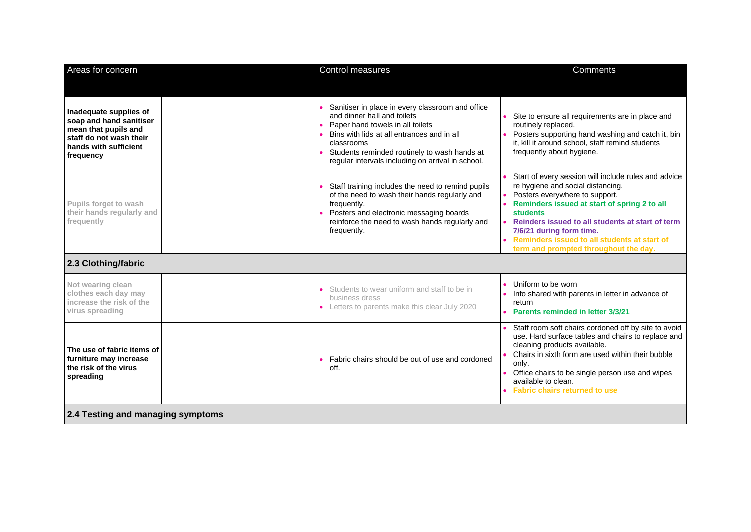| Areas for concern                                                                                                                          |  | Control measures                                                                                                                                                                                                                                                                     | <b>Comments</b>                                                                                                                                                                                                                                                                                                                                                         |  |
|--------------------------------------------------------------------------------------------------------------------------------------------|--|--------------------------------------------------------------------------------------------------------------------------------------------------------------------------------------------------------------------------------------------------------------------------------------|-------------------------------------------------------------------------------------------------------------------------------------------------------------------------------------------------------------------------------------------------------------------------------------------------------------------------------------------------------------------------|--|
|                                                                                                                                            |  |                                                                                                                                                                                                                                                                                      |                                                                                                                                                                                                                                                                                                                                                                         |  |
| Inadequate supplies of<br>soap and hand sanitiser<br>mean that pupils and<br>staff do not wash their<br>hands with sufficient<br>frequency |  | Sanitiser in place in every classroom and office<br>and dinner hall and toilets<br>Paper hand towels in all toilets<br>Bins with lids at all entrances and in all<br>classrooms<br>Students reminded routinely to wash hands at<br>regular intervals including on arrival in school. | Site to ensure all requirements are in place and<br>routinely replaced.<br>Posters supporting hand washing and catch it, bin<br>it, kill it around school, staff remind students<br>frequently about hygiene.                                                                                                                                                           |  |
| Pupils forget to wash<br>their hands regularly and<br>frequently                                                                           |  | Staff training includes the need to remind pupils<br>of the need to wash their hands regularly and<br>frequently.<br>Posters and electronic messaging boards<br>reinforce the need to wash hands regularly and<br>frequently.                                                        | Start of every session will include rules and advice<br>re hygiene and social distancing.<br>Posters everywhere to support.<br>Reminders issued at start of spring 2 to all<br><b>students</b><br>Reinders issued to all students at start of term<br>7/6/21 during form time.<br>Reminders issued to all students at start of<br>term and prompted throughout the day. |  |
| 2.3 Clothing/fabric                                                                                                                        |  |                                                                                                                                                                                                                                                                                      |                                                                                                                                                                                                                                                                                                                                                                         |  |
| Not wearing clean<br>clothes each day may<br>increase the risk of the<br>virus spreading                                                   |  | Students to wear uniform and staff to be in<br>business dress<br>• Letters to parents make this clear July 2020                                                                                                                                                                      | Uniform to be worn<br>Info shared with parents in letter in advance of<br>return<br>Parents reminded in letter 3/3/21                                                                                                                                                                                                                                                   |  |
| The use of fabric items of<br>furniture may increase<br>the risk of the virus<br>spreading                                                 |  | Fabric chairs should be out of use and cordoned<br>off.                                                                                                                                                                                                                              | Staff room soft chairs cordoned off by site to avoid<br>use. Hard surface tables and chairs to replace and<br>cleaning products available.<br>Chairs in sixth form are used within their bubble<br>only.<br>Office chairs to be single person use and wipes<br>available to clean.<br><b>Fabric chairs returned to use</b>                                              |  |
| 2.4 Testing and managing symptoms                                                                                                          |  |                                                                                                                                                                                                                                                                                      |                                                                                                                                                                                                                                                                                                                                                                         |  |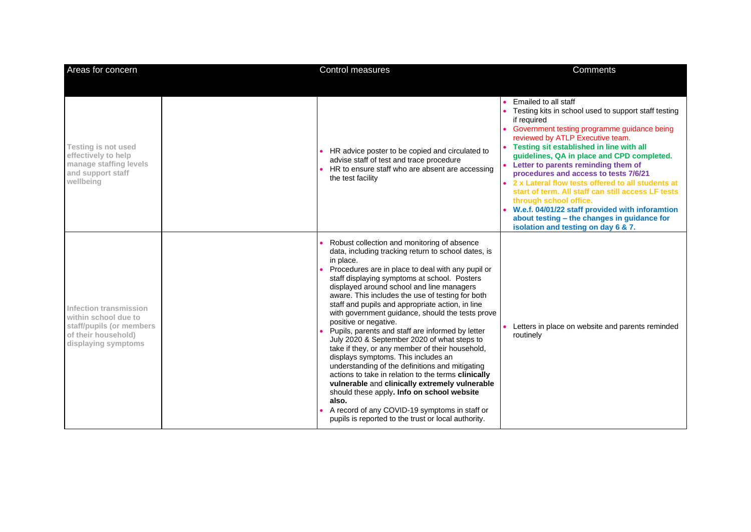| Areas for concern                                                                                                        | Control measures                                                                                                                                                                                                                                                                                                                                                                                                                                                                                                                                                                                                                                                                                                                                                                                                                                                                                                                                                               | Comments                                                                                                                                                                                                                                                                                                                                                                                                                                                                                                                                                                                                                                     |
|--------------------------------------------------------------------------------------------------------------------------|--------------------------------------------------------------------------------------------------------------------------------------------------------------------------------------------------------------------------------------------------------------------------------------------------------------------------------------------------------------------------------------------------------------------------------------------------------------------------------------------------------------------------------------------------------------------------------------------------------------------------------------------------------------------------------------------------------------------------------------------------------------------------------------------------------------------------------------------------------------------------------------------------------------------------------------------------------------------------------|----------------------------------------------------------------------------------------------------------------------------------------------------------------------------------------------------------------------------------------------------------------------------------------------------------------------------------------------------------------------------------------------------------------------------------------------------------------------------------------------------------------------------------------------------------------------------------------------------------------------------------------------|
| <b>Testing is not used</b><br>effectively to help<br>manage staffing levels<br>and support staff<br>wellbeing            | HR advice poster to be copied and circulated to<br>advise staff of test and trace procedure<br>HR to ensure staff who are absent are accessing<br>the test facility                                                                                                                                                                                                                                                                                                                                                                                                                                                                                                                                                                                                                                                                                                                                                                                                            | Emailed to all staff<br>Testing kits in school used to support staff testing<br>if required<br>• Government testing programme guidance being<br>reviewed by ATLP Executive team.<br>• Testing sit established in line with all<br>guidelines, QA in place and CPD completed.<br>Letter to parents reminding them of<br>procedures and access to tests 7/6/21<br>2 x Lateral flow tests offered to all students at<br>start of term. All staff can still access LF tests<br>through school office.<br>• W.e.f. 04/01/22 staff provided with inforamtion<br>about testing - the changes in guidance for<br>isolation and testing on day 6 & 7. |
| Infection transmission<br>within school due to<br>staff/pupils (or members<br>of their household)<br>displaying symptoms | Robust collection and monitoring of absence<br>data, including tracking return to school dates, is<br>in place.<br>Procedures are in place to deal with any pupil or<br>staff displaying symptoms at school. Posters<br>displayed around school and line managers<br>aware. This includes the use of testing for both<br>staff and pupils and appropriate action, in line<br>with government guidance, should the tests prove<br>positive or negative.<br>Pupils, parents and staff are informed by letter<br>July 2020 & September 2020 of what steps to<br>take if they, or any member of their household,<br>displays symptoms. This includes an<br>understanding of the definitions and mitigating<br>actions to take in relation to the terms clinically<br>vulnerable and clinically extremely vulnerable<br>should these apply. Info on school website<br>also.<br>A record of any COVID-19 symptoms in staff or<br>pupils is reported to the trust or local authority. | Letters in place on website and parents reminded<br>routinely                                                                                                                                                                                                                                                                                                                                                                                                                                                                                                                                                                                |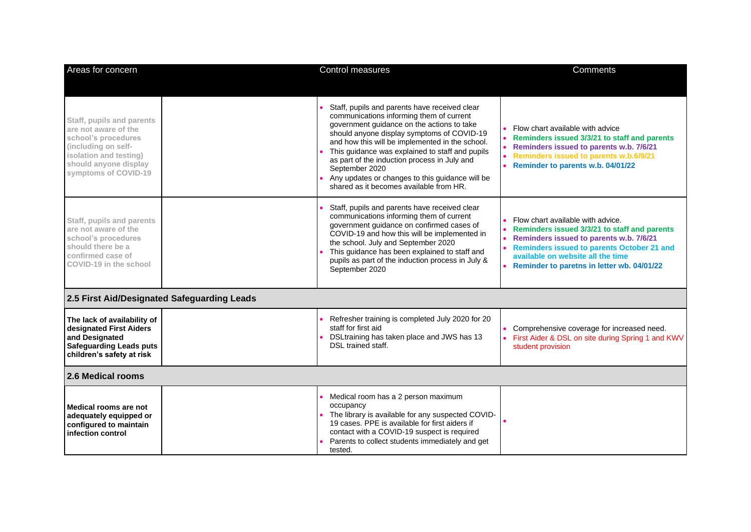| Areas for concern                                                                                                                                                          | Control measures                                                                                                                                                                                                                                                                                                                                                                                                                                            | Comments                                                                                                                                                                                                                                                             |
|----------------------------------------------------------------------------------------------------------------------------------------------------------------------------|-------------------------------------------------------------------------------------------------------------------------------------------------------------------------------------------------------------------------------------------------------------------------------------------------------------------------------------------------------------------------------------------------------------------------------------------------------------|----------------------------------------------------------------------------------------------------------------------------------------------------------------------------------------------------------------------------------------------------------------------|
|                                                                                                                                                                            |                                                                                                                                                                                                                                                                                                                                                                                                                                                             |                                                                                                                                                                                                                                                                      |
| Staff, pupils and parents<br>are not aware of the<br>school's procedures<br>(including on self-<br>isolation and testing)<br>should anyone display<br>symptoms of COVID-19 | Staff, pupils and parents have received clear<br>communications informing them of current<br>government guidance on the actions to take<br>should anyone display symptoms of COVID-19<br>and how this will be implemented in the school.<br>This guidance was explained to staff and pupils<br>as part of the induction process in July and<br>September 2020<br>Any updates or changes to this guidance will be<br>shared as it becomes available from HR. | Flow chart available with advice<br>Reminders issued 3/3/21 to staff and parents<br>Reminders issued to parents w.b. 7/6/21<br>Reminders issued to parents w.b.6/9/21<br>Reminder to parents w.b. 04/01/22                                                           |
| Staff, pupils and parents<br>are not aware of the<br>school's procedures<br>should there be a<br>confirmed case of<br>COVID-19 in the school                               | Staff, pupils and parents have received clear<br>communications informing them of current<br>government guidance on confirmed cases of<br>COVID-19 and how this will be implemented in<br>the school. July and September 2020<br>This guidance has been explained to staff and<br>pupils as part of the induction process in July &<br>September 2020                                                                                                       | Flow chart available with advice.<br>Reminders issued 3/3/21 to staff and parents<br>Reminders issued to parents w.b. 7/6/21<br><b>Reminders issued to parents October 21 and</b><br>available on website all the time<br>Reminder to paretns in letter wb. 04/01/22 |
| 2.5 First Aid/Designated Safeguarding Leads                                                                                                                                |                                                                                                                                                                                                                                                                                                                                                                                                                                                             |                                                                                                                                                                                                                                                                      |
| The lack of availability of<br>designated First Aiders<br>and Designated<br><b>Safeguarding Leads puts</b><br>children's safety at risk                                    | Refresher training is completed July 2020 for 20<br>staff for first aid<br>DSLtraining has taken place and JWS has 13<br>DSL trained staff.                                                                                                                                                                                                                                                                                                                 | Comprehensive coverage for increased need.<br>• First Aider & DSL on site during Spring 1 and KWV<br>student provision                                                                                                                                               |
| 2.6 Medical rooms                                                                                                                                                          |                                                                                                                                                                                                                                                                                                                                                                                                                                                             |                                                                                                                                                                                                                                                                      |
| Medical rooms are not<br>adequately equipped or<br>configured to maintain<br>infection control                                                                             | Medical room has a 2 person maximum<br>occupancy<br>The library is available for any suspected COVID-<br>19 cases. PPE is available for first aiders if<br>contact with a COVID-19 suspect is required<br>Parents to collect students immediately and get<br>tested.                                                                                                                                                                                        |                                                                                                                                                                                                                                                                      |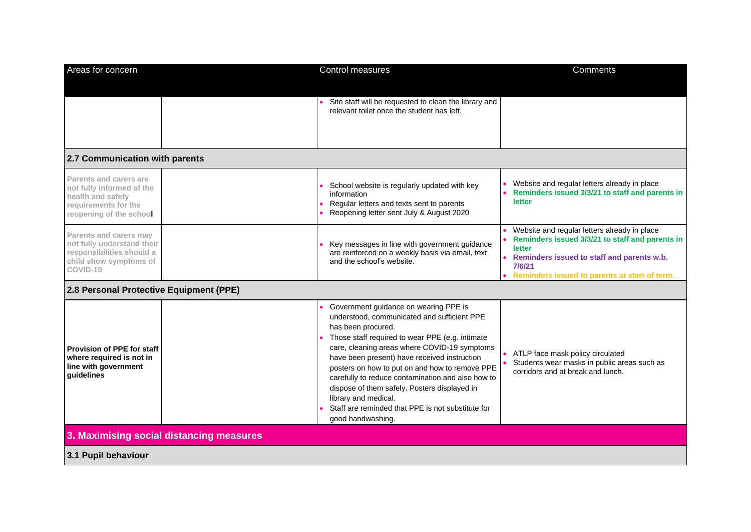| Areas for concern                                                                                                           |                                          | Control measures                                                                                                                                                                                                                                                                                                                                                                                                                                                                                                       | Comments                                                                                                                                                                                                           |
|-----------------------------------------------------------------------------------------------------------------------------|------------------------------------------|------------------------------------------------------------------------------------------------------------------------------------------------------------------------------------------------------------------------------------------------------------------------------------------------------------------------------------------------------------------------------------------------------------------------------------------------------------------------------------------------------------------------|--------------------------------------------------------------------------------------------------------------------------------------------------------------------------------------------------------------------|
|                                                                                                                             |                                          | Site staff will be requested to clean the library and<br>relevant toilet once the student has left.                                                                                                                                                                                                                                                                                                                                                                                                                    |                                                                                                                                                                                                                    |
| 2.7 Communication with parents                                                                                              |                                          |                                                                                                                                                                                                                                                                                                                                                                                                                                                                                                                        |                                                                                                                                                                                                                    |
| Parents and carers are<br>not fully informed of the<br>health and safety<br>requirements for the<br>reopening of the school |                                          | School website is regularly updated with key<br>information<br>Regular letters and texts sent to parents<br>Reopening letter sent July & August 2020                                                                                                                                                                                                                                                                                                                                                                   | Website and regular letters already in place<br>Reminders issued 3/3/21 to staff and parents in<br>letter                                                                                                          |
| Parents and carers may<br>not fully understand their<br>responsibilities should a<br>child show symptoms of<br>COVID-19     |                                          | Key messages in line with government guidance<br>are reinforced on a weekly basis via email, text<br>and the school's website.                                                                                                                                                                                                                                                                                                                                                                                         | Website and regular letters already in place<br>Reminders issued 3/3/21 to staff and parents in<br>letter<br>Reminders issued to staff and parents w.b.<br>7/6/21<br>Reminders issued to parents at start of term. |
| 2.8 Personal Protective Equipment (PPE)                                                                                     |                                          |                                                                                                                                                                                                                                                                                                                                                                                                                                                                                                                        |                                                                                                                                                                                                                    |
| <b>Provision of PPE for staff</b><br>where required is not in<br>line with government<br>quidelines                         |                                          | Government guidance on wearing PPE is<br>understood, communicated and sufficient PPE<br>has been procured.<br>Those staff required to wear PPE (e.g. intimate<br>care, cleaning areas where COVID-19 symptoms<br>have been present) have received instruction<br>posters on how to put on and how to remove PPE<br>carefully to reduce contamination and also how to<br>dispose of them safely. Posters displayed in<br>library and medical.<br>Staff are reminded that PPE is not substitute for<br>good handwashing. | ATLP face mask policy circulated<br>Students wear masks in public areas such as<br>corridors and at break and lunch.                                                                                               |
|                                                                                                                             | 3. Maximising social distancing measures |                                                                                                                                                                                                                                                                                                                                                                                                                                                                                                                        |                                                                                                                                                                                                                    |
| 3.1 Pupil behaviour                                                                                                         |                                          |                                                                                                                                                                                                                                                                                                                                                                                                                                                                                                                        |                                                                                                                                                                                                                    |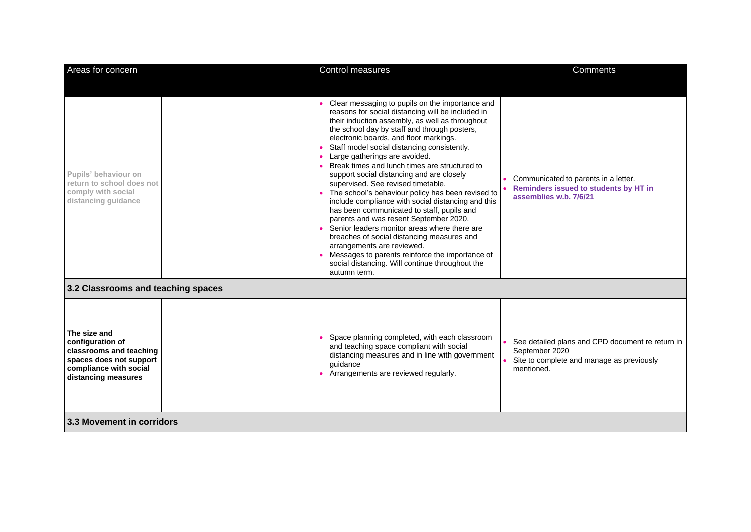| Areas for concern                                                                                                                       |  | Control measures                                                                                                                                                                                                                                                                                                                                                                                                                                                                                                                                                                                                                                                                                                                                                                                                                                                                                                           | <b>Comments</b>                                                                                                               |
|-----------------------------------------------------------------------------------------------------------------------------------------|--|----------------------------------------------------------------------------------------------------------------------------------------------------------------------------------------------------------------------------------------------------------------------------------------------------------------------------------------------------------------------------------------------------------------------------------------------------------------------------------------------------------------------------------------------------------------------------------------------------------------------------------------------------------------------------------------------------------------------------------------------------------------------------------------------------------------------------------------------------------------------------------------------------------------------------|-------------------------------------------------------------------------------------------------------------------------------|
| Pupils' behaviour on<br>return to school does not<br>comply with social<br>distancing guidance                                          |  | Clear messaging to pupils on the importance and<br>reasons for social distancing will be included in<br>their induction assembly, as well as throughout<br>the school day by staff and through posters,<br>electronic boards, and floor markings.<br>Staff model social distancing consistently.<br>Large gatherings are avoided.<br>Break times and lunch times are structured to<br>support social distancing and are closely<br>supervised. See revised timetable.<br>The school's behaviour policy has been revised to<br>include compliance with social distancing and this<br>has been communicated to staff, pupils and<br>parents and was resent September 2020.<br>Senior leaders monitor areas where there are<br>breaches of social distancing measures and<br>arrangements are reviewed.<br>Messages to parents reinforce the importance of<br>social distancing. Will continue throughout the<br>autumn term. | Communicated to parents in a letter.<br>Reminders issued to students by HT in<br>assemblies w.b. 7/6/21                       |
| 3.2 Classrooms and teaching spaces                                                                                                      |  |                                                                                                                                                                                                                                                                                                                                                                                                                                                                                                                                                                                                                                                                                                                                                                                                                                                                                                                            |                                                                                                                               |
| The size and<br>configuration of<br>classrooms and teaching<br>spaces does not support<br>compliance with social<br>distancing measures |  | Space planning completed, with each classroom<br>and teaching space compliant with social<br>distancing measures and in line with government<br>quidance<br>Arrangements are reviewed regularly.                                                                                                                                                                                                                                                                                                                                                                                                                                                                                                                                                                                                                                                                                                                           | See detailed plans and CPD document re return in<br>September 2020<br>Site to complete and manage as previously<br>mentioned. |
| 3.3 Movement in corridors                                                                                                               |  |                                                                                                                                                                                                                                                                                                                                                                                                                                                                                                                                                                                                                                                                                                                                                                                                                                                                                                                            |                                                                                                                               |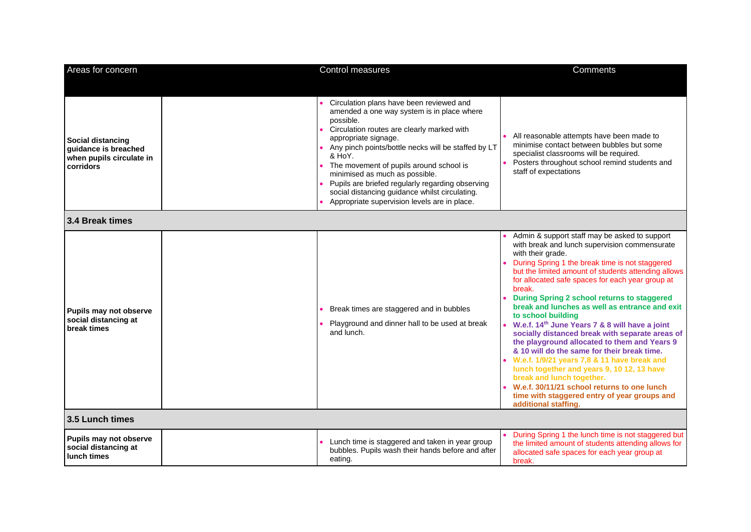| Areas for concern                                                                  | <b>Control measures</b>                                                                                                                                                                                                                                                                                                                                                                                                                                                       | <b>Comments</b>                                                                                                                                                                                                                                                                                                                                                                                                                                                                                                                                                                                                                                                                                                                                                                                                                                                                       |
|------------------------------------------------------------------------------------|-------------------------------------------------------------------------------------------------------------------------------------------------------------------------------------------------------------------------------------------------------------------------------------------------------------------------------------------------------------------------------------------------------------------------------------------------------------------------------|---------------------------------------------------------------------------------------------------------------------------------------------------------------------------------------------------------------------------------------------------------------------------------------------------------------------------------------------------------------------------------------------------------------------------------------------------------------------------------------------------------------------------------------------------------------------------------------------------------------------------------------------------------------------------------------------------------------------------------------------------------------------------------------------------------------------------------------------------------------------------------------|
| Social distancing<br>guidance is breached<br>when pupils circulate in<br>corridors | Circulation plans have been reviewed and<br>amended a one way system is in place where<br>possible.<br>Circulation routes are clearly marked with<br>appropriate signage.<br>Any pinch points/bottle necks will be staffed by LT<br>& HoY.<br>The movement of pupils around school is<br>minimised as much as possible.<br>Pupils are briefed regularly regarding observing<br>social distancing guidance whilst circulating.<br>Appropriate supervision levels are in place. | All reasonable attempts have been made to<br>minimise contact between bubbles but some<br>specialist classrooms will be required.<br>Posters throughout school remind students and<br>staff of expectations                                                                                                                                                                                                                                                                                                                                                                                                                                                                                                                                                                                                                                                                           |
| 3.4 Break times                                                                    |                                                                                                                                                                                                                                                                                                                                                                                                                                                                               |                                                                                                                                                                                                                                                                                                                                                                                                                                                                                                                                                                                                                                                                                                                                                                                                                                                                                       |
| Pupils may not observe<br>social distancing at<br>break times                      | Break times are staggered and in bubbles<br>Playground and dinner hall to be used at break<br>and lunch.                                                                                                                                                                                                                                                                                                                                                                      | Admin & support staff may be asked to support<br>with break and lunch supervision commensurate<br>with their grade.<br>During Spring 1 the break time is not staggered<br>but the limited amount of students attending allows<br>for allocated safe spaces for each year group at<br>break.<br>During Spring 2 school returns to staggered<br>break and lunches as well as entrance and exit<br>to school building<br>• W.e.f. 14 <sup>th</sup> June Years 7 & 8 will have a joint<br>socially distanced break with separate areas of<br>the playground allocated to them and Years 9<br>& 10 will do the same for their break time.<br>W.e.f. 1/9/21 years 7,8 & 11 have break and<br>lunch together and years 9, 10 12, 13 have<br>break and lunch together.<br>W.e.f. 30/11/21 school returns to one lunch<br>time with staggered entry of year groups and<br>additional staffing. |
| 3.5 Lunch times                                                                    |                                                                                                                                                                                                                                                                                                                                                                                                                                                                               |                                                                                                                                                                                                                                                                                                                                                                                                                                                                                                                                                                                                                                                                                                                                                                                                                                                                                       |
| Pupils may not observe<br>social distancing at<br>lunch times                      | Lunch time is staggered and taken in year group<br>bubbles. Pupils wash their hands before and after<br>eating.                                                                                                                                                                                                                                                                                                                                                               | During Spring 1 the lunch time is not staggered but<br>the limited amount of students attending allows for<br>allocated safe spaces for each year group at<br>break.                                                                                                                                                                                                                                                                                                                                                                                                                                                                                                                                                                                                                                                                                                                  |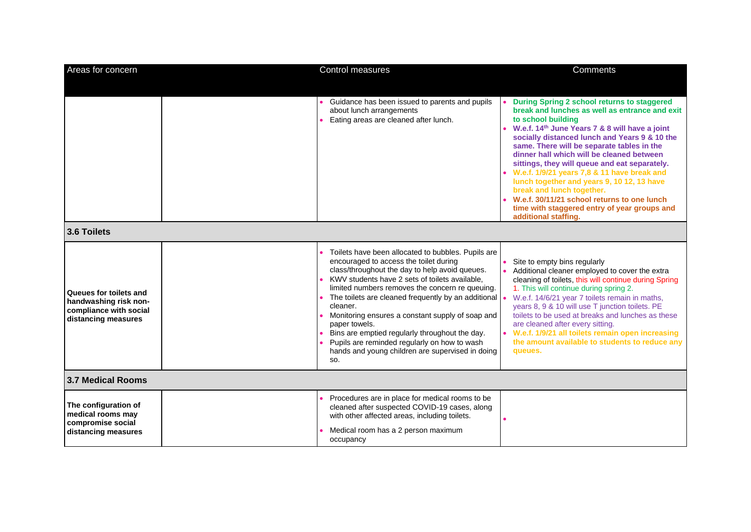| Areas for concern                                                                                | Control measures                                                                                                                                                                                                                                                                                                                                                                                                                                                                                                                                           | Comments                                                                                                                                                                                                                                                                                                                                                                                                                                                                                                                                                                                                                          |
|--------------------------------------------------------------------------------------------------|------------------------------------------------------------------------------------------------------------------------------------------------------------------------------------------------------------------------------------------------------------------------------------------------------------------------------------------------------------------------------------------------------------------------------------------------------------------------------------------------------------------------------------------------------------|-----------------------------------------------------------------------------------------------------------------------------------------------------------------------------------------------------------------------------------------------------------------------------------------------------------------------------------------------------------------------------------------------------------------------------------------------------------------------------------------------------------------------------------------------------------------------------------------------------------------------------------|
|                                                                                                  |                                                                                                                                                                                                                                                                                                                                                                                                                                                                                                                                                            |                                                                                                                                                                                                                                                                                                                                                                                                                                                                                                                                                                                                                                   |
|                                                                                                  | Guidance has been issued to parents and pupils<br>about lunch arrangements<br>Eating areas are cleaned after lunch.                                                                                                                                                                                                                                                                                                                                                                                                                                        | During Spring 2 school returns to staggered<br>break and lunches as well as entrance and exit<br>to school building<br>W.e.f. 14 <sup>th</sup> June Years 7 & 8 will have a joint<br>socially distanced lunch and Years 9 & 10 the<br>same. There will be separate tables in the<br>dinner hall which will be cleaned between<br>sittings, they will queue and eat separately.<br>W.e.f. 1/9/21 years 7,8 & 11 have break and<br>lunch together and years 9, 10 12, 13 have<br>break and lunch together.<br>• W.e.f. 30/11/21 school returns to one lunch<br>time with staggered entry of year groups and<br>additional staffing. |
| 3.6 Toilets                                                                                      |                                                                                                                                                                                                                                                                                                                                                                                                                                                                                                                                                            |                                                                                                                                                                                                                                                                                                                                                                                                                                                                                                                                                                                                                                   |
| Queues for toilets and<br>handwashing risk non-<br>compliance with social<br>distancing measures | Toilets have been allocated to bubbles. Pupils are<br>encouraged to access the toilet during<br>class/throughout the day to help avoid queues.<br>KWV students have 2 sets of toilets available,<br>limited numbers removes the concern re queuing.<br>The toilets are cleaned frequently by an additional .<br>cleaner.<br>Monitoring ensures a constant supply of soap and<br>paper towels.<br>Bins are emptied regularly throughout the day.<br>Pupils are reminded regularly on how to wash<br>hands and young children are supervised in doing<br>SO. | Site to empty bins regularly<br>Additional cleaner employed to cover the extra<br>cleaning of toilets, this will continue during Spring<br>1. This will continue during spring 2.<br>W.e.f. 14/6/21 year 7 toilets remain in maths,<br>years 8, 9 & 10 will use T junction toilets. PE<br>toilets to be used at breaks and lunches as these<br>are cleaned after every sitting.<br>• W.e.f. 1/9/21 all toilets remain open increasing<br>the amount available to students to reduce any<br>queues.                                                                                                                                |
| 3.7 Medical Rooms                                                                                |                                                                                                                                                                                                                                                                                                                                                                                                                                                                                                                                                            |                                                                                                                                                                                                                                                                                                                                                                                                                                                                                                                                                                                                                                   |
| The configuration of<br>medical rooms may<br>compromise social<br>distancing measures            | Procedures are in place for medical rooms to be<br>cleaned after suspected COVID-19 cases, along<br>with other affected areas, including toilets.<br>Medical room has a 2 person maximum<br>occupancy                                                                                                                                                                                                                                                                                                                                                      |                                                                                                                                                                                                                                                                                                                                                                                                                                                                                                                                                                                                                                   |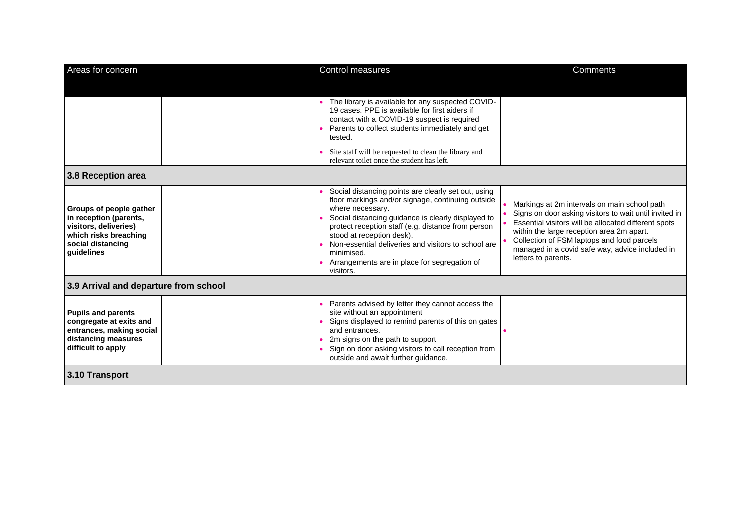| Areas for concern                                                                                                                      | Control measures                                                                                                                                                                                                                                                                                                                                                                                        | Comments                                                                                                                                                                                                                                                                                                                            |
|----------------------------------------------------------------------------------------------------------------------------------------|---------------------------------------------------------------------------------------------------------------------------------------------------------------------------------------------------------------------------------------------------------------------------------------------------------------------------------------------------------------------------------------------------------|-------------------------------------------------------------------------------------------------------------------------------------------------------------------------------------------------------------------------------------------------------------------------------------------------------------------------------------|
|                                                                                                                                        | The library is available for any suspected COVID-<br>19 cases. PPE is available for first aiders if<br>contact with a COVID-19 suspect is required<br>Parents to collect students immediately and get<br>tested.<br>Site staff will be requested to clean the library and                                                                                                                               |                                                                                                                                                                                                                                                                                                                                     |
|                                                                                                                                        | relevant toilet once the student has left.                                                                                                                                                                                                                                                                                                                                                              |                                                                                                                                                                                                                                                                                                                                     |
| 3.8 Reception area                                                                                                                     |                                                                                                                                                                                                                                                                                                                                                                                                         |                                                                                                                                                                                                                                                                                                                                     |
| Groups of people gather<br>in reception (parents,<br>visitors, deliveries)<br>which risks breaching<br>social distancing<br>quidelines | Social distancing points are clearly set out, using<br>floor markings and/or signage, continuing outside<br>where necessary.<br>Social distancing guidance is clearly displayed to<br>protect reception staff (e.g. distance from person<br>stood at reception desk).<br>Non-essential deliveries and visitors to school are<br>minimised.<br>Arrangements are in place for segregation of<br>visitors. | Markings at 2m intervals on main school path<br>Signs on door asking visitors to wait until invited in<br>Essential visitors will be allocated different spots<br>within the large reception area 2m apart.<br>Collection of FSM laptops and food parcels<br>managed in a covid safe way, advice included in<br>letters to parents. |
| 3.9 Arrival and departure from school                                                                                                  |                                                                                                                                                                                                                                                                                                                                                                                                         |                                                                                                                                                                                                                                                                                                                                     |
| <b>Pupils and parents</b><br>congregate at exits and<br>entrances, making social<br>distancing measures<br>difficult to apply          | Parents advised by letter they cannot access the<br>site without an appointment<br>Signs displayed to remind parents of this on gates<br>and entrances.<br>2m signs on the path to support<br>Sign on door asking visitors to call reception from<br>outside and await further guidance.                                                                                                                |                                                                                                                                                                                                                                                                                                                                     |
| 3.10 Transport                                                                                                                         |                                                                                                                                                                                                                                                                                                                                                                                                         |                                                                                                                                                                                                                                                                                                                                     |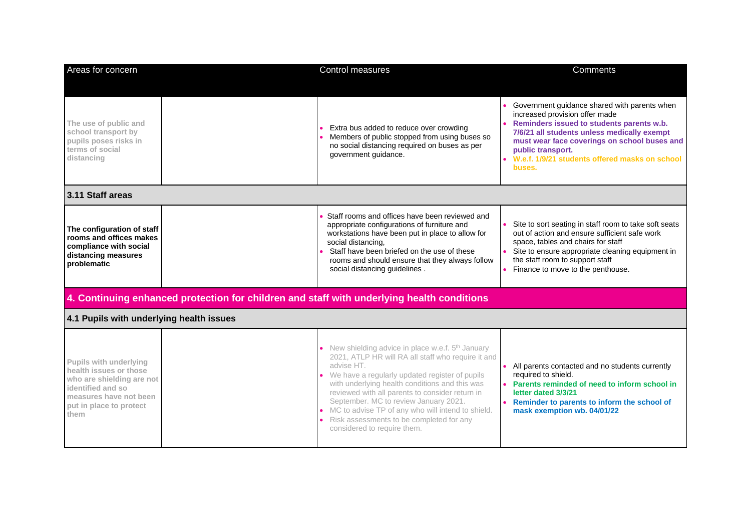| Areas for concern                                                                                                                                               | <b>Control measures</b>                                                                                                                                                                                                                                                                                                                                                                                                                                                | Comments                                                                                                                                                                                                                                                                                                    |
|-----------------------------------------------------------------------------------------------------------------------------------------------------------------|------------------------------------------------------------------------------------------------------------------------------------------------------------------------------------------------------------------------------------------------------------------------------------------------------------------------------------------------------------------------------------------------------------------------------------------------------------------------|-------------------------------------------------------------------------------------------------------------------------------------------------------------------------------------------------------------------------------------------------------------------------------------------------------------|
| The use of public and<br>school transport by<br>pupils poses risks in<br>terms of social<br>distancing                                                          | Extra bus added to reduce over crowding<br>Members of public stopped from using buses so<br>no social distancing required on buses as per<br>government guidance.                                                                                                                                                                                                                                                                                                      | Government guidance shared with parents when<br>increased provision offer made<br>Reminders issued to students parents w.b.<br>7/6/21 all students unless medically exempt<br>must wear face coverings on school buses and<br>public transport.<br>W.e.f. 1/9/21 students offered masks on school<br>buses. |
| 3.11 Staff areas                                                                                                                                                |                                                                                                                                                                                                                                                                                                                                                                                                                                                                        |                                                                                                                                                                                                                                                                                                             |
| The configuration of staff<br>rooms and offices makes<br>compliance with social<br>distancing measures<br>problematic                                           | Staff rooms and offices have been reviewed and<br>appropriate configurations of furniture and<br>workstations have been put in place to allow for<br>social distancing,<br>Staff have been briefed on the use of these<br>rooms and should ensure that they always follow<br>social distancing guidelines.                                                                                                                                                             | Site to sort seating in staff room to take soft seats<br>out of action and ensure sufficient safe work<br>space, tables and chairs for staff<br>Site to ensure appropriate cleaning equipment in<br>the staff room to support staff<br>Finance to move to the penthouse.                                    |
|                                                                                                                                                                 | 4. Continuing enhanced protection for children and staff with underlying health conditions                                                                                                                                                                                                                                                                                                                                                                             |                                                                                                                                                                                                                                                                                                             |
| 4.1 Pupils with underlying health issues                                                                                                                        |                                                                                                                                                                                                                                                                                                                                                                                                                                                                        |                                                                                                                                                                                                                                                                                                             |
| Pupils with underlying<br>health issues or those<br>who are shielding are not<br>identified and so<br>measures have not been<br>put in place to protect<br>them | • New shielding advice in place w.e.f. 5 <sup>th</sup> January<br>2021, ATLP HR will RA all staff who require it and<br>advise HT.<br>• We have a regularly updated register of pupils<br>with underlying health conditions and this was<br>reviewed with all parents to consider return in<br>September. MC to review January 2021.<br>• MC to advise TP of any who will intend to shield.<br>Risk assessments to be completed for any<br>considered to require them. | All parents contacted and no students currently<br>required to shield.<br>Parents reminded of need to inform school in<br>letter dated 3/3/21<br>Reminder to parents to inform the school of<br>mask exemption wb. 04/01/22                                                                                 |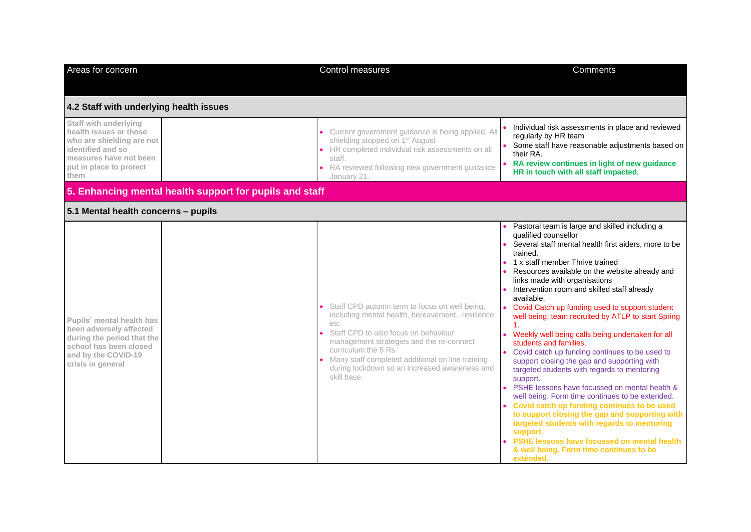| Areas for concern                                                                                                                                              |                                                         | Control measures                                                                                                                                                                                                                                                                                                                              | Comments                                                                                                                                                                                                                                                                                                                                                                                                                                                                                                                                                                                                                                                                                                                                                                                                                                                                                                                                                                                                                                                           |
|----------------------------------------------------------------------------------------------------------------------------------------------------------------|---------------------------------------------------------|-----------------------------------------------------------------------------------------------------------------------------------------------------------------------------------------------------------------------------------------------------------------------------------------------------------------------------------------------|--------------------------------------------------------------------------------------------------------------------------------------------------------------------------------------------------------------------------------------------------------------------------------------------------------------------------------------------------------------------------------------------------------------------------------------------------------------------------------------------------------------------------------------------------------------------------------------------------------------------------------------------------------------------------------------------------------------------------------------------------------------------------------------------------------------------------------------------------------------------------------------------------------------------------------------------------------------------------------------------------------------------------------------------------------------------|
| 4.2 Staff with underlying health issues                                                                                                                        |                                                         |                                                                                                                                                                                                                                                                                                                                               |                                                                                                                                                                                                                                                                                                                                                                                                                                                                                                                                                                                                                                                                                                                                                                                                                                                                                                                                                                                                                                                                    |
| Staff with underlying<br>health issues or those<br>who are shielding are not<br>identified and so<br>measures have not been<br>put in place to protect<br>them |                                                         | • Current government guidance is being applied. All<br>shielding stopped on 1 <sup>st</sup> August<br>• HR completed individual risk assessments on all<br>staff.<br>• RA reviewed following new government guidance<br>January 21.                                                                                                           | Individual risk assessments in place and reviewed<br>regularly by HR team<br>Some staff have reasonable adjustments based on<br>their RA.<br>RA review continues in light of new guidance<br>HR in touch with all staff impacted.                                                                                                                                                                                                                                                                                                                                                                                                                                                                                                                                                                                                                                                                                                                                                                                                                                  |
|                                                                                                                                                                | 5. Enhancing mental health support for pupils and staff |                                                                                                                                                                                                                                                                                                                                               |                                                                                                                                                                                                                                                                                                                                                                                                                                                                                                                                                                                                                                                                                                                                                                                                                                                                                                                                                                                                                                                                    |
| 5.1 Mental health concerns - pupils                                                                                                                            |                                                         |                                                                                                                                                                                                                                                                                                                                               |                                                                                                                                                                                                                                                                                                                                                                                                                                                                                                                                                                                                                                                                                                                                                                                                                                                                                                                                                                                                                                                                    |
| Pupils' mental health has<br>been adversely affected<br>during the period that the<br>school has been closed<br>and by the COVID-19<br>crisis in general       |                                                         | • Staff CPD autumn term to focus on well being,<br>including mental health, bereavement,, resilience<br>etc.<br>Staff CPD to also focus on behaviour<br>management strategies and the re-connect<br>curriculum the 5 Rs<br>• Many staff completed additional on line training<br>during lockdown so an increased awareness and<br>skill base. | Pastoral team is large and skilled including a<br>qualified counsellor<br>Several staff mental health first aiders, more to be<br>trained.<br>1 x staff member Thrive trained<br>Resources available on the website already and<br>links made with organisations<br>Intervention room and skilled staff already<br>available.<br>• Covid Catch up funding used to support student<br>well being, team recruited by ATLP to start Spring<br>1.<br>• Weekly well being calls being undertaken for all<br>students and families.<br>• Covid catch up funding continues to be used to<br>support closing the gap and supporting with<br>targeted students with regards to mentoring<br>support.<br>PSHE lessons have focussed on mental health &<br>well being. Form time continues to be extended.<br>Covid catch up funding continues to be used<br>to support closing the gap and supporting with<br>targeted students with regards to mentoring<br>support.<br>PSHE lessons have focussed on mental health<br>& well being. Form time continues to be<br>extended. |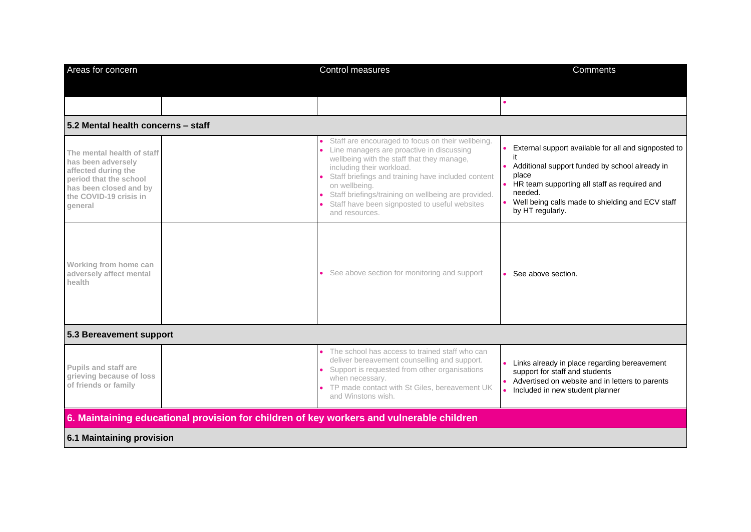| Areas for concern                                                                                                                                                | Control measures                                                                                                                                                                                                                                                                                                                                                           | Comments                                                                                                                                                                                                                                                   |  |
|------------------------------------------------------------------------------------------------------------------------------------------------------------------|----------------------------------------------------------------------------------------------------------------------------------------------------------------------------------------------------------------------------------------------------------------------------------------------------------------------------------------------------------------------------|------------------------------------------------------------------------------------------------------------------------------------------------------------------------------------------------------------------------------------------------------------|--|
|                                                                                                                                                                  |                                                                                                                                                                                                                                                                                                                                                                            |                                                                                                                                                                                                                                                            |  |
|                                                                                                                                                                  |                                                                                                                                                                                                                                                                                                                                                                            |                                                                                                                                                                                                                                                            |  |
| 5.2 Mental health concerns - staff                                                                                                                               |                                                                                                                                                                                                                                                                                                                                                                            |                                                                                                                                                                                                                                                            |  |
| The mental health of staff<br>has been adversely<br>affected during the<br>period that the school<br>has been closed and by<br>the COVID-19 crisis in<br>general | Staff are encouraged to focus on their wellbeing.<br>Line managers are proactive in discussing<br>wellbeing with the staff that they manage,<br>including their workload.<br>Staff briefings and training have included content<br>on wellbeing.<br>Staff briefings/training on wellbeing are provided.<br>Staff have been signposted to useful websites<br>and resources. | External support available for all and signposted to<br>it<br>Additional support funded by school already in<br>place<br>• HR team supporting all staff as required and<br>needed.<br>Well being calls made to shielding and ECV staff<br>by HT regularly. |  |
| Working from home can<br>adversely affect mental<br>health                                                                                                       | • See above section for monitoring and support                                                                                                                                                                                                                                                                                                                             | • See above section.                                                                                                                                                                                                                                       |  |
| 5.3 Bereavement support                                                                                                                                          |                                                                                                                                                                                                                                                                                                                                                                            |                                                                                                                                                                                                                                                            |  |
| <b>Pupils and staff are</b><br>grieving because of loss<br>of friends or family                                                                                  | The school has access to trained staff who can<br>deliver bereavement counselling and support.<br>Support is requested from other organisations<br>when necessary.<br>TP made contact with St Giles, bereavement UK<br>and Winstons wish.                                                                                                                                  | Links already in place regarding bereavement<br>support for staff and students<br>Advertised on website and in letters to parents<br>Included in new student planner                                                                                       |  |
| 6. Maintaining educational provision for children of key workers and vulnerable children                                                                         |                                                                                                                                                                                                                                                                                                                                                                            |                                                                                                                                                                                                                                                            |  |
| 6.1 Maintaining provision                                                                                                                                        |                                                                                                                                                                                                                                                                                                                                                                            |                                                                                                                                                                                                                                                            |  |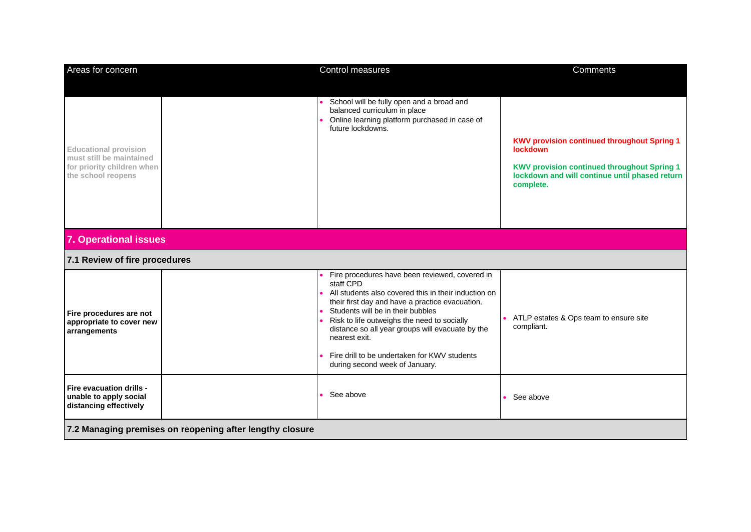| Areas for concern                                                                                            |  | Control measures                                                                                                                                                                                                                                                                                                                                                                                                  | Comments                                                                                                                                                                                   |
|--------------------------------------------------------------------------------------------------------------|--|-------------------------------------------------------------------------------------------------------------------------------------------------------------------------------------------------------------------------------------------------------------------------------------------------------------------------------------------------------------------------------------------------------------------|--------------------------------------------------------------------------------------------------------------------------------------------------------------------------------------------|
| <b>Educational provision</b><br>must still be maintained<br>for priority children when<br>the school reopens |  | School will be fully open and a broad and<br>balanced curriculum in place<br>Online learning platform purchased in case of<br>future lockdowns.                                                                                                                                                                                                                                                                   | <b>KWV provision continued throughout Spring 1</b><br><b>lockdown</b><br><b>KWV provision continued throughout Spring 1</b><br>lockdown and will continue until phased return<br>complete. |
| <b>7. Operational issues</b>                                                                                 |  |                                                                                                                                                                                                                                                                                                                                                                                                                   |                                                                                                                                                                                            |
| 7.1 Review of fire procedures                                                                                |  |                                                                                                                                                                                                                                                                                                                                                                                                                   |                                                                                                                                                                                            |
| Fire procedures are not<br>appropriate to cover new<br>arrangements                                          |  | Fire procedures have been reviewed, covered in<br>staff CPD<br>All students also covered this in their induction on<br>their first day and have a practice evacuation.<br>Students will be in their bubbles<br>Risk to life outweighs the need to socially<br>distance so all year groups will evacuate by the<br>nearest exit.<br>Fire drill to be undertaken for KWV students<br>during second week of January. | ATLP estates & Ops team to ensure site<br>compliant.                                                                                                                                       |
| Fire evacuation drills -<br>unable to apply social<br>distancing effectively                                 |  | See above                                                                                                                                                                                                                                                                                                                                                                                                         | See above                                                                                                                                                                                  |
| 7.2 Managing premises on reopening after lengthy closure                                                     |  |                                                                                                                                                                                                                                                                                                                                                                                                                   |                                                                                                                                                                                            |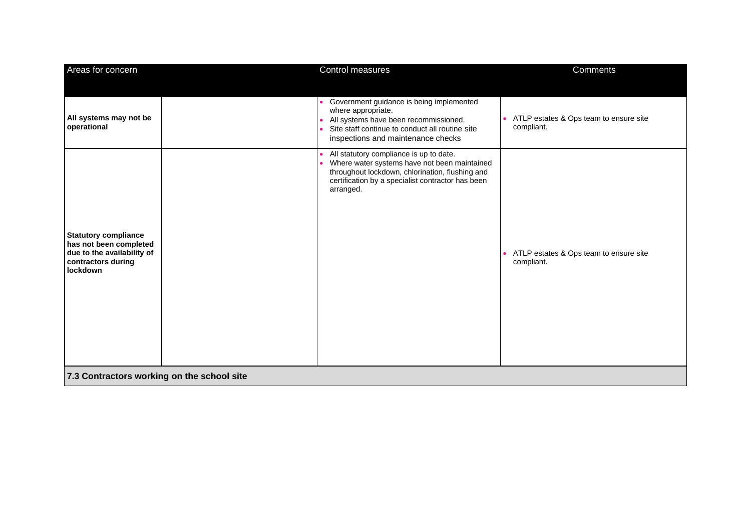| Areas for concern                                                                                                     |  | Control measures                                                                                                                                                                                             | <b>Comments</b>                                        |
|-----------------------------------------------------------------------------------------------------------------------|--|--------------------------------------------------------------------------------------------------------------------------------------------------------------------------------------------------------------|--------------------------------------------------------|
|                                                                                                                       |  |                                                                                                                                                                                                              |                                                        |
| All systems may not be<br>operational                                                                                 |  | • Government guidance is being implemented<br>where appropriate.<br>All systems have been recommissioned.<br>Site staff continue to conduct all routine site<br>inspections and maintenance checks           | • ATLP estates & Ops team to ensure site<br>compliant. |
| <b>Statutory compliance</b><br>has not been completed<br>due to the availability of<br>contractors during<br>lockdown |  | All statutory compliance is up to date.<br>Where water systems have not been maintained<br>throughout lockdown, chlorination, flushing and<br>certification by a specialist contractor has been<br>arranged. | • ATLP estates & Ops team to ensure site<br>compliant. |
| 7.3 Contractors working on the school site                                                                            |  |                                                                                                                                                                                                              |                                                        |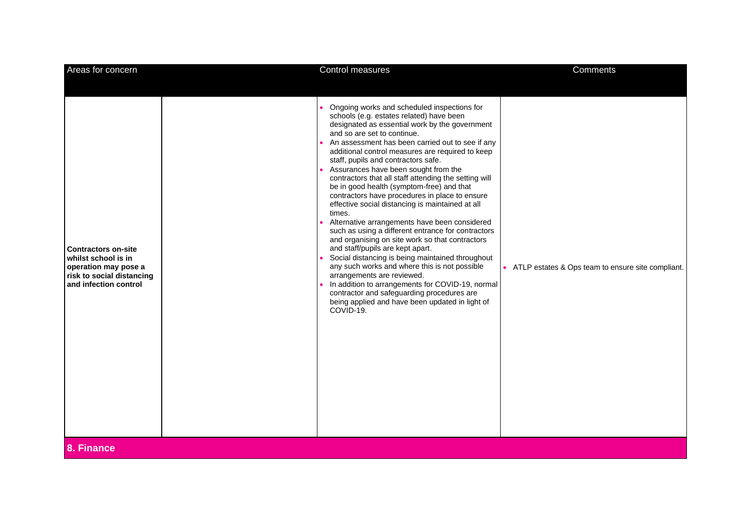| Areas for concern                                                                                                               | Control measures                                                                                                                                                                                                                                                                                                                                                                                                                                                                                                                                                                                                                                                                                                                                                                                                                                                                                                                                                                                                                                                                         | Comments                                            |
|---------------------------------------------------------------------------------------------------------------------------------|------------------------------------------------------------------------------------------------------------------------------------------------------------------------------------------------------------------------------------------------------------------------------------------------------------------------------------------------------------------------------------------------------------------------------------------------------------------------------------------------------------------------------------------------------------------------------------------------------------------------------------------------------------------------------------------------------------------------------------------------------------------------------------------------------------------------------------------------------------------------------------------------------------------------------------------------------------------------------------------------------------------------------------------------------------------------------------------|-----------------------------------------------------|
| <b>Contractors on-site</b><br>whilst school is in<br>operation may pose a<br>risk to social distancing<br>and infection control | Ongoing works and scheduled inspections for<br>schools (e.g. estates related) have been<br>designated as essential work by the government<br>and so are set to continue.<br>An assessment has been carried out to see if any<br>additional control measures are required to keep<br>staff, pupils and contractors safe.<br>Assurances have been sought from the<br>contractors that all staff attending the setting will<br>be in good health (symptom-free) and that<br>contractors have procedures in place to ensure<br>effective social distancing is maintained at all<br>times.<br>Alternative arrangements have been considered<br>such as using a different entrance for contractors<br>and organising on site work so that contractors<br>and staff/pupils are kept apart.<br>Social distancing is being maintained throughout<br>any such works and where this is not possible<br>arrangements are reviewed.<br>In addition to arrangements for COVID-19, normal<br>contractor and safeguarding procedures are<br>being applied and have been updated in light of<br>COVID-19. | • ATLP estates & Ops team to ensure site compliant. |
| 8. Finance                                                                                                                      |                                                                                                                                                                                                                                                                                                                                                                                                                                                                                                                                                                                                                                                                                                                                                                                                                                                                                                                                                                                                                                                                                          |                                                     |